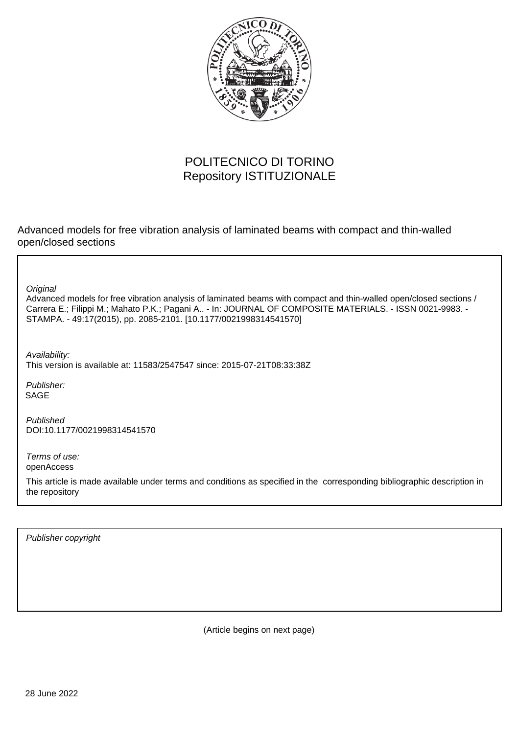

# POLITECNICO DI TORINO Repository ISTITUZIONALE

Advanced models for free vibration analysis of laminated beams with compact and thin-walled open/closed sections

**Original** 

Advanced models for free vibration analysis of laminated beams with compact and thin-walled open/closed sections / Carrera E.; Filippi M.; Mahato P.K.; Pagani A.. - In: JOURNAL OF COMPOSITE MATERIALS. - ISSN 0021-9983. - STAMPA. - 49:17(2015), pp. 2085-2101. [10.1177/0021998314541570]

Availability: This version is available at: 11583/2547547 since: 2015-07-21T08:33:38Z

Publisher: SAGE

Published DOI:10.1177/0021998314541570

Terms of use: openAccess

This article is made available under terms and conditions as specified in the corresponding bibliographic description in the repository

Publisher copyright

(Article begins on next page)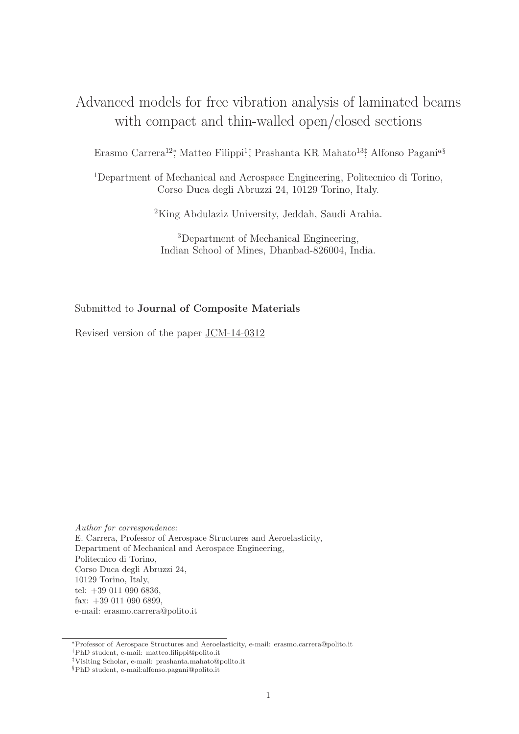# Advanced models for free vibration analysis of laminated beams with compact and thin-walled open/closed sections

Erasmo Carrera<sup>12</sup>; Matteo Filippi<sup>1†</sup>, Prashanta KR Mahato<sup>13‡</sup>, Alfonso Pagani<sup>a§</sup>

<sup>1</sup>Department of Mechanical and Aerospace Engineering, Politecnico di Torino, Corso Duca degli Abruzzi 24, 10129 Torino, Italy.

<sup>2</sup>King Abdulaziz University, Jeddah, Saudi Arabia.

<sup>3</sup>Department of Mechanical Engineering, Indian School of Mines, Dhanbad-826004, India.

## Submitted to Journal of Composite Materials

Revised version of the paper JCM-14-0312

*Author for correspondence:* E. Carrera, Professor of Aerospace Structures and Aeroelasticity, Department of Mechanical and Aerospace Engineering, Politecnico di Torino, Corso Duca degli Abruzzi 24, 10129 Torino, Italy, tel: +39 011 090 6836, fax: +39 011 090 6899, e-mail: erasmo.carrera@polito.it

<sup>∗</sup>Professor of Aerospace Structures and Aeroelasticity, e-mail: erasmo.carrera@polito.it †PhD student, e-mail: matteo.filippi@polito.it

‡Visiting Scholar, e-mail: prashanta.mahato@polito.it

<sup>§</sup>PhD student, e-mail:alfonso.pagani@polito.it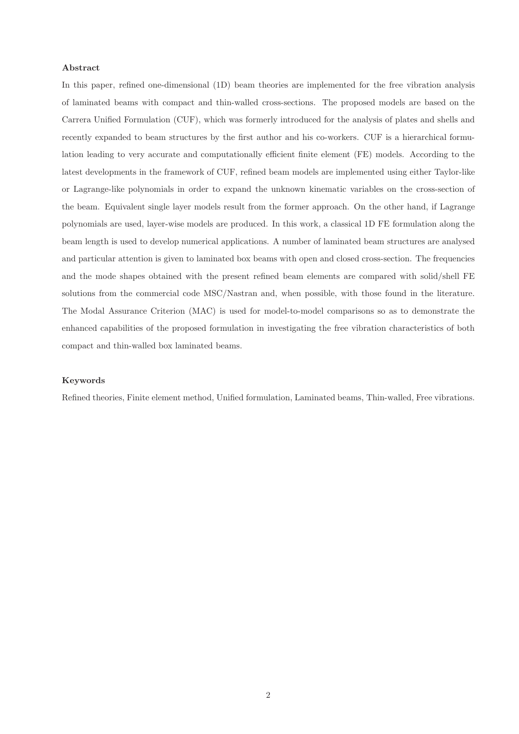#### Abstract

In this paper, refined one-dimensional (1D) beam theories are implemented for the free vibration analysis of laminated beams with compact and thin-walled cross-sections. The proposed models are based on the Carrera Unified Formulation (CUF), which was formerly introduced for the analysis of plates and shells and recently expanded to beam structures by the first author and his co-workers. CUF is a hierarchical formulation leading to very accurate and computationally efficient finite element (FE) models. According to the latest developments in the framework of CUF, refined beam models are implemented using either Taylor-like or Lagrange-like polynomials in order to expand the unknown kinematic variables on the cross-section of the beam. Equivalent single layer models result from the former approach. On the other hand, if Lagrange polynomials are used, layer-wise models are produced. In this work, a classical 1D FE formulation along the beam length is used to develop numerical applications. A number of laminated beam structures are analysed and particular attention is given to laminated box beams with open and closed cross-section. The frequencies and the mode shapes obtained with the present refined beam elements are compared with solid/shell FE solutions from the commercial code MSC/Nastran and, when possible, with those found in the literature. The Modal Assurance Criterion (MAC) is used for model-to-model comparisons so as to demonstrate the enhanced capabilities of the proposed formulation in investigating the free vibration characteristics of both compact and thin-walled box laminated beams.

#### Keywords

Refined theories, Finite element method, Unified formulation, Laminated beams, Thin-walled, Free vibrations.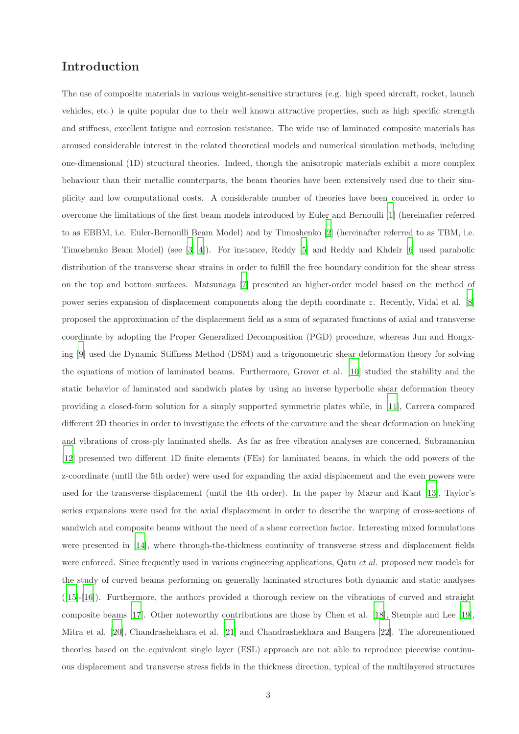# Introduction

The use of composite materials in various weight-sensitive structures (e.g. high speed aircraft, rocket, launch vehicles, etc.) is quite popular due to their well known attractive properties, such as high specific strength and stiffness, excellent fatigue and corrosion resistance. The wide use of laminated composite materials has aroused considerable interest in the related theoretical models and numerical simulation methods, including one-dimensional (1D) structural theories. Indeed, though the anisotropic materials exhibit a more complex behaviour than their metallic counterparts, the beam theories have been extensively used due to their simplicity and low computational costs. A considerable number of theories have been conceived in order to overcome the limitations of the first beam models introduced by Euler and Bernoulli [1] (hereinafter referred to as EBBM, i.e. Euler-Bernoulli Beam Model) and by Timoshenko [2] (hereinafter referred to as TBM, i.e. Timoshenko Beam Model) (see [3, 4]). For instance, Reddy [5] and Reddy and Khdeir [6] used parabolic distribution of the transverse shear strains in order to fulfill the free boundary condition for the shear stress on the top and bottom surfaces. Matsunaga [7] presented an higher-order model based on the method of power series expansion of displacement components along the depth coordinate z. Recently, Vidal et al. [8] proposed the approximation of the displacement field as a sum of separated functions of axial and transverse coordinate by adopting the Proper Generalized Decomposition (PGD) procedure, whereas Jun and Hongxing [9] used the Dynamic Stiffness Method (DSM) and a trigonometric shear deformation theory for solving the equations of motion of laminated beams. Furthermore, Grover et al. [10] studied the stability and the static behavior of laminated and sandwich plates by using an inverse hyperbolic shear deformation theory providing a closed-form solution for a simply supported symmetric plates while, in [11], Carrera compared different 2D theories in order to investigate the effects of the curvature and the shear deformation on buckling and vibrations of cross-ply laminated shells. As far as free vibration analyses are concerned, Subramanian [12] presented two different 1D finite elements (FEs) for laminated beams, in which the odd powers of the z-coordinate (until the 5th order) were used for expanding the axial displacement and the even powers were used for the transverse displacement (until the 4th order). In the paper by Marur and Kant [13], Taylor's series expansions were used for the axial displacement in order to describe the warping of cross-sections of sandwich and composite beams without the need of a shear correction factor. Interesting mixed formulations were presented in [14], where through-the-thickness continuity of transverse stress and displacement fields were enforced. Since frequently used in various engineering applications, Qatu *et al.* proposed new models for the study of curved beams performing on generally laminated structures both dynamic and static analyses ([15]-[16]). Furthermore, the authors provided a thorough review on the vibrations of curved and straight composite beams [17]. Other noteworthy contributions are those by Chen et al. [18], Stemple and Lee [19], Mitra et al. [20], Chandrashekhara et al. [21] and Chandrashekhara and Bangera [22]. The aforementioned theories based on the equivalent single layer (ESL) approach are not able to reproduce piecewise continuous displacement and transverse stress fields in the thickness direction, typical of the multilayered structures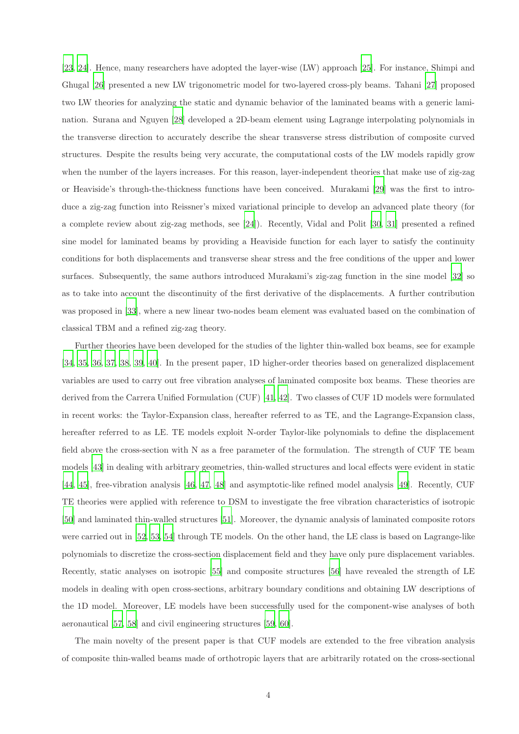[23, 24]. Hence, many researchers have adopted the layer-wise (LW) approach [25]. For instance, Shimpi and Ghugal [26] presented a new LW trigonometric model for two-layered cross-ply beams. Tahani [27] proposed two LW theories for analyzing the static and dynamic behavior of the laminated beams with a generic lamination. Surana and Nguyen [28] developed a 2D-beam element using Lagrange interpolating polynomials in the transverse direction to accurately describe the shear transverse stress distribution of composite curved structures. Despite the results being very accurate, the computational costs of the LW models rapidly grow when the number of the layers increases. For this reason, layer-independent theories that make use of zig-zag or Heaviside's through-the-thickness functions have been conceived. Murakami [29] was the first to introduce a zig-zag function into Reissner's mixed variational principle to develop an advanced plate theory (for a complete review about zig-zag methods, see [24]). Recently, Vidal and Polit [30, 31] presented a refined sine model for laminated beams by providing a Heaviside function for each layer to satisfy the continuity conditions for both displacements and transverse shear stress and the free conditions of the upper and lower surfaces. Subsequently, the same authors introduced Murakami's zig-zag function in the sine model [32] so as to take into account the discontinuity of the first derivative of the displacements. A further contribution was proposed in [33], where a new linear two-nodes beam element was evaluated based on the combination of classical TBM and a refined zig-zag theory.

Further theories have been developed for the studies of the lighter thin-walled box beams, see for example [34, 35, 36, 37, 38, 39, 40]. In the present paper, 1D higher-order theories based on generalized displacement variables are used to carry out free vibration analyses of laminated composite box beams. These theories are derived from the Carrera Unified Formulation (CUF) [41, 42]. Two classes of CUF 1D models were formulated in recent works: the Taylor-Expansion class, hereafter referred to as TE, and the Lagrange-Expansion class, hereafter referred to as LE. TE models exploit N-order Taylor-like polynomials to define the displacement field above the cross-section with N as a free parameter of the formulation. The strength of CUF TE beam models [43] in dealing with arbitrary geometries, thin-walled structures and local effects were evident in static [44, 45], free-vibration analysis [46, 47, 48] and asymptotic-like refined model analysis [49]. Recently, CUF TE theories were applied with reference to DSM to investigate the free vibration characteristics of isotropic [50] and laminated thin-walled structures [51]. Moreover, the dynamic analysis of laminated composite rotors were carried out in [52, 53, 54] through TE models. On the other hand, the LE class is based on Lagrange-like polynomials to discretize the cross-section displacement field and they have only pure displacement variables. Recently, static analyses on isotropic [55] and composite structures [56] have revealed the strength of LE models in dealing with open cross-sections, arbitrary boundary conditions and obtaining LW descriptions of the 1D model. Moreover, LE models have been successfully used for the component-wise analyses of both aeronautical [57, 58] and civil engineering structures [59, 60].

The main novelty of the present paper is that CUF models are extended to the free vibration analysis of composite thin-walled beams made of orthotropic layers that are arbitrarily rotated on the cross-sectional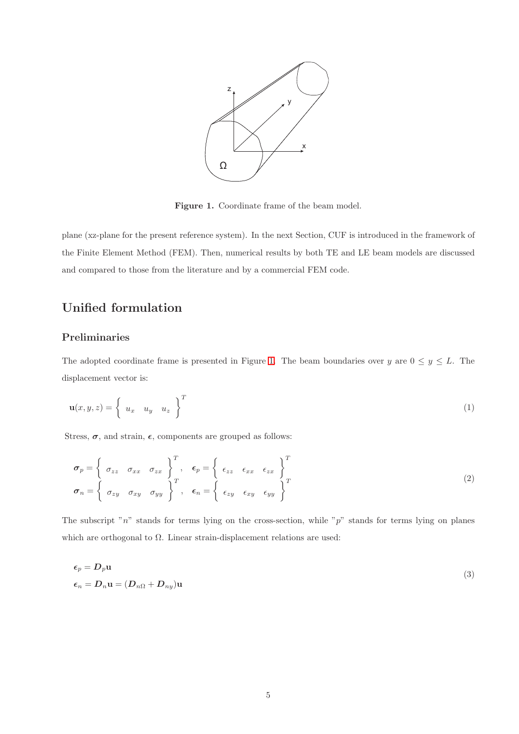

Figure 1. Coordinate frame of the beam model.

plane (xz-plane for the present reference system). In the next Section, CUF is introduced in the framework of the Finite Element Method (FEM). Then, numerical results by both TE and LE beam models are discussed and compared to those from the literature and by a commercial FEM code.

# Unified formulation

## Preliminaries

The adopted coordinate frame is presented in Figure 1. The beam boundaries over y are  $0 \le y \le L$ . The displacement vector is:

$$
\mathbf{u}(x, y, z) = \begin{cases} u_x & u_y & u_z \end{cases} \bigg\}^T \tag{1}
$$

Stress,  $\sigma$ , and strain,  $\epsilon$ , components are grouped as follows:

$$
\sigma_p = \begin{cases}\n\sigma_{zz} & \sigma_{xx} & \sigma_{zx} \\
\sigma_{x} & \sigma_{xx} & \sigma_{yx}\n\end{cases}, \quad \epsilon_p = \begin{cases}\n\epsilon_{zz} & \epsilon_{xx} & \epsilon_{zx} \\
\epsilon_{zz} & \epsilon_{xx} & \epsilon_{yx}\n\end{cases}
$$
\n
$$
\sigma_n = \begin{cases}\n\sigma_{zy} & \sigma_{xy} & \sigma_{yy} \\
\sigma_{xy} & \sigma_{yy} & \sigma_{xy}\n\end{cases}
$$
\n(2)

The subscript " $n$ " stands for terms lying on the cross-section, while " $p$ " stands for terms lying on planes which are orthogonal to  $\Omega$ . Linear strain-displacement relations are used:

$$
\epsilon_p = D_p \mathbf{u}
$$
  

$$
\epsilon_n = D_n \mathbf{u} = (D_{n\Omega} + D_{ny}) \mathbf{u}
$$
 (3)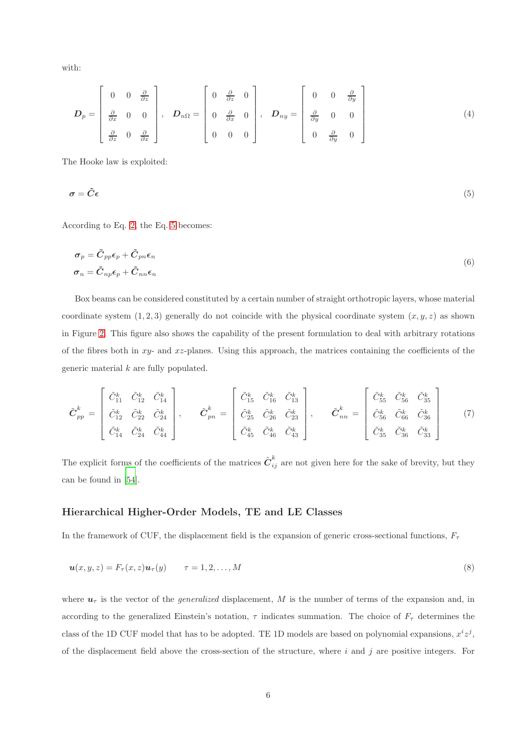with:

$$
\boldsymbol{D}_{p} = \begin{bmatrix} 0 & 0 & \frac{\partial}{\partial z} \\ \frac{\partial}{\partial x} & 0 & 0 \\ \frac{\partial}{\partial z} & 0 & \frac{\partial}{\partial x} \end{bmatrix}, \quad \boldsymbol{D}_{n\Omega} = \begin{bmatrix} 0 & \frac{\partial}{\partial z} & 0 \\ 0 & \frac{\partial}{\partial x} & 0 \\ 0 & 0 & 0 \end{bmatrix}, \quad \boldsymbol{D}_{ny} = \begin{bmatrix} 0 & 0 & \frac{\partial}{\partial y} \\ \frac{\partial}{\partial y} & 0 & 0 \\ 0 & \frac{\partial}{\partial y} & 0 \end{bmatrix}
$$
(4)

The Hooke law is exploited:

$$
\sigma = \tilde{C}\epsilon \tag{5}
$$

According to Eq. 2, the Eq. 5 becomes:

$$
\sigma_p = \tilde{C}_{pp}\epsilon_p + \tilde{C}_{pn}\epsilon_n
$$
  
\n
$$
\sigma_n = \tilde{C}_{np}\epsilon_p + \tilde{C}_{nn}\epsilon_n
$$
\n(6)

Box beams can be considered constituted by a certain number of straight orthotropic layers, whose material coordinate system  $(1, 2, 3)$  generally do not coincide with the physical coordinate system  $(x, y, z)$  as shown in Figure 2. This figure also shows the capability of the present formulation to deal with arbitrary rotations of the fibres both in  $xy$ - and  $xz$ -planes. Using this approach, the matrices containing the coefficients of the generic material k are fully populated.

$$
\tilde{\boldsymbol{C}}_{pp}^{k} = \begin{bmatrix} \tilde{C}_{11}^{k} & \tilde{C}_{12}^{k} & \tilde{C}_{14}^{k} \\ \tilde{C}_{12}^{k} & \tilde{C}_{22}^{k} & \tilde{C}_{24}^{k} \\ \tilde{C}_{14}^{k} & \tilde{C}_{24}^{k} & \tilde{C}_{44}^{k} \end{bmatrix}, \qquad \tilde{\boldsymbol{C}}_{pn}^{k} = \begin{bmatrix} \tilde{C}_{15}^{k} & \tilde{C}_{16}^{k} & \tilde{C}_{13}^{k} \\ \tilde{C}_{25}^{k} & \tilde{C}_{26}^{k} & \tilde{C}_{23}^{k} \\ \tilde{C}_{45}^{k} & \tilde{C}_{46}^{k} & \tilde{C}_{43}^{k} \end{bmatrix}, \qquad \tilde{\boldsymbol{C}}_{nn}^{k} = \begin{bmatrix} \tilde{C}_{55}^{k} & \tilde{C}_{56}^{k} & \tilde{C}_{35}^{k} \\ \tilde{C}_{56}^{k} & \tilde{C}_{66}^{k} & \tilde{C}_{36}^{k} \\ \tilde{C}_{35}^{k} & \tilde{C}_{36}^{k} & \tilde{C}_{33}^{k} \end{bmatrix} \qquad (7)
$$

The explicit forms of the coefficients of the matrices  $\tilde{C}^k_{ij}$  are not given here for the sake of brevity, but they can be found in [54].

### Hierarchical Higher-Order Models, TE and LE Classes

In the framework of CUF, the displacement field is the expansion of generic cross-sectional functions,  $F_{\tau}$ 

$$
\mathbf{u}(x, y, z) = F_{\tau}(x, z)\mathbf{u}_{\tau}(y) \qquad \tau = 1, 2, \dots, M
$$
\n
$$
(8)
$$

where  $u<sub>\tau</sub>$  is the vector of the *generalized* displacement, M is the number of terms of the expansion and, in according to the generalized Einstein's notation,  $\tau$  indicates summation. The choice of  $F_{\tau}$  determines the class of the 1D CUF model that has to be adopted. TE 1D models are based on polynomial expansions,  $x^i z^j$ , of the displacement field above the cross-section of the structure, where  $i$  and  $j$  are positive integers. For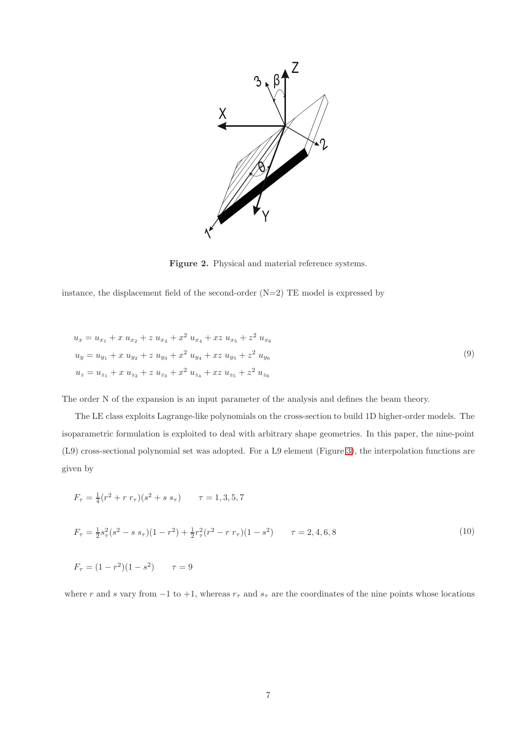

Figure 2. Physical and material reference systems.

instance, the displacement field of the second-order  $(N=2)$  TE model is expressed by

$$
u_x = u_{x_1} + x u_{x_2} + z u_{x_3} + x^2 u_{x_4} + xz u_{x_5} + z^2 u_{x_6}
$$
  
\n
$$
u_y = u_{y_1} + x u_{y_2} + z u_{y_3} + x^2 u_{y_4} + xz u_{y_5} + z^2 u_{y_6}
$$
  
\n
$$
u_z = u_{z_1} + x u_{z_2} + z u_{z_3} + x^2 u_{z_4} + xz u_{z_5} + z^2 u_{z_6}
$$
\n(9)

The order N of the expansion is an input parameter of the analysis and defines the beam theory.

The LE class exploits Lagrange-like polynomials on the cross-section to build 1D higher-order models. The isoparametric formulation is exploited to deal with arbitrary shape geometries. In this paper, the nine-point (L9) cross-sectional polynomial set was adopted. For a L9 element (Figure 3), the interpolation functions are given by

$$
F_{\tau} = \frac{1}{4}(r^2 + r r_{\tau})(s^2 + s s_{\tau}) \qquad \tau = 1, 3, 5, 7
$$
  
\n
$$
F_{\tau} = \frac{1}{2}s_{\tau}^2(s^2 - s s_{\tau})(1 - r^2) + \frac{1}{2}r_{\tau}^2(r^2 - r r_{\tau})(1 - s^2) \qquad \tau = 2, 4, 6, 8
$$
  
\n
$$
F_{\tau} = (1 - r^2)(1 - s^2) \qquad \tau = 9
$$
\n(10)

where r and s vary from  $-1$  to  $+1$ , whereas  $r<sub>\tau</sub>$  and  $s<sub>\tau</sub>$  are the coordinates of the nine points whose locations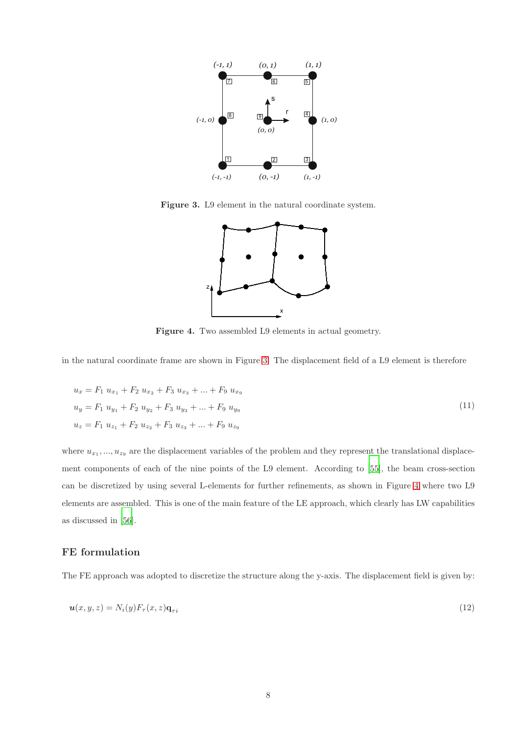

Figure 3. L9 element in the natural coordinate system.



Figure 4. Two assembled L9 elements in actual geometry.

in the natural coordinate frame are shown in Figure 3. The displacement field of a L9 element is therefore

$$
u_x = F_1 u_{x_1} + F_2 u_{x_2} + F_3 u_{x_3} + \dots + F_9 u_{x_9}
$$
  
\n
$$
u_y = F_1 u_{y_1} + F_2 u_{y_2} + F_3 u_{y_3} + \dots + F_9 u_{y_9}
$$
  
\n
$$
u_z = F_1 u_{z_1} + F_2 u_{z_2} + F_3 u_{z_3} + \dots + F_9 u_{z_9}
$$
\n(11)

where  $u_{x_1},...,u_{z_9}$  are the displacement variables of the problem and they represent the translational displacement components of each of the nine points of the L9 element. According to [55], the beam cross-section can be discretized by using several L-elements for further refinements, as shown in Figure 4 where two L9 elements are assembled. This is one of the main feature of the LE approach, which clearly has LW capabilities as discussed in [56].

## FE formulation

The FE approach was adopted to discretize the structure along the y-axis. The displacement field is given by:

$$
\mathbf{u}(x,y,z) = N_i(y) F_\tau(x,z) \mathbf{q}_{\tau i} \tag{12}
$$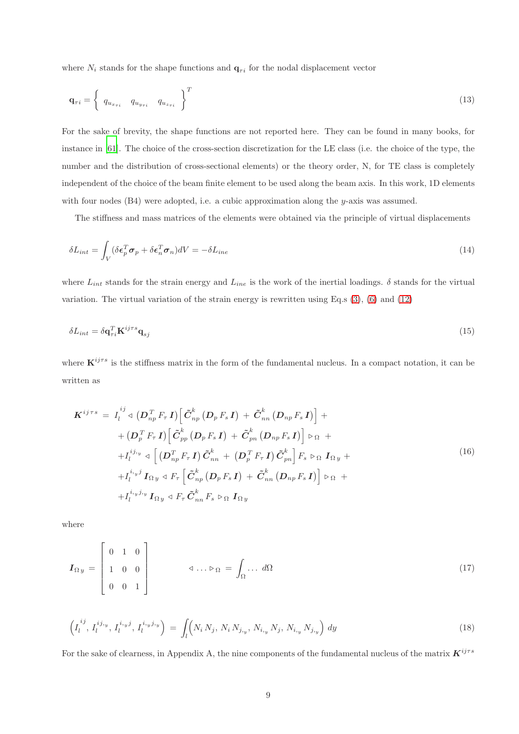where  $N_i$  stands for the shape functions and  $q_{\tau i}$  for the nodal displacement vector

$$
\mathbf{q}_{\tau i} = \begin{Bmatrix} q_{u_{x_{\tau i}}} & q_{u_{y_{\tau i}}} & q_{u_{z_{\tau i}}} \end{Bmatrix}^{T}
$$
\n(13)

For the sake of brevity, the shape functions are not reported here. They can be found in many books, for instance in [61]. The choice of the cross-section discretization for the LE class (i.e. the choice of the type, the number and the distribution of cross-sectional elements) or the theory order, N, for TE class is completely independent of the choice of the beam finite element to be used along the beam axis. In this work, 1D elements with four nodes (B4) were adopted, i.e. a cubic approximation along the y-axis was assumed.

The stiffness and mass matrices of the elements were obtained via the principle of virtual displacements

$$
\delta L_{int} = \int_{V} (\delta \epsilon_p^T \sigma_p + \delta \epsilon_n^T \sigma_n) dV = -\delta L_{ine}
$$
\n(14)

where  $L_{int}$  stands for the strain energy and  $L_{ine}$  is the work of the inertial loadings.  $\delta$  stands for the virtual variation. The virtual variation of the strain energy is rewritten using Eq.s (3), (6) and (12)

$$
\delta L_{int} = \delta \mathbf{q}_{\tau i}^T \mathbf{K}^{ij\tau s} \mathbf{q}_{sj} \tag{15}
$$

where  $\mathbf{K}^{ij\tau s}$  is the stiffness matrix in the form of the fundamental nucleus. In a compact notation, it can be written as

$$
\boldsymbol{K}^{ij\tau s} = I_{l}^{ij} \triangleleft (\boldsymbol{D}_{np}^{T} F_{\tau} \boldsymbol{I}) \Big[ \tilde{\boldsymbol{C}}_{np}^{k} \left( \boldsymbol{D}_{p} F_{s} \boldsymbol{I} \right) + \tilde{\boldsymbol{C}}_{nn}^{k} \left( \boldsymbol{D}_{np} F_{s} \boldsymbol{I} \right) \Big] +
$$
  
+ 
$$
\left( \boldsymbol{D}_{p}^{T} F_{\tau} \boldsymbol{I} \right) \Big[ \tilde{\boldsymbol{C}}_{pp}^{k} \left( \boldsymbol{D}_{p} F_{s} \boldsymbol{I} \right) + \tilde{\boldsymbol{C}}_{pn}^{k} \left( \boldsymbol{D}_{np} F_{s} \boldsymbol{I} \right) \Big] \triangleright_{\Omega} +
$$
  
+ 
$$
I_{l}^{ij,y} \triangleleft \Big[ \left( \boldsymbol{D}_{np}^{T} F_{\tau} \boldsymbol{I} \right) \tilde{\boldsymbol{C}}_{nn}^{k} + \left( \boldsymbol{D}_{p}^{T} F_{\tau} \boldsymbol{I} \right) \tilde{\boldsymbol{C}}_{pn}^{k} \Big] F_{s} \triangleright_{\Omega} \boldsymbol{I}_{\Omega y} +
$$
  
+ 
$$
I_{l}^{i,j,y} \boldsymbol{I}_{\Omega y} \triangleleft F_{\tau} \Big[ \tilde{\boldsymbol{C}}_{np}^{k} \left( \boldsymbol{D}_{p} F_{s} \boldsymbol{I} \right) + \tilde{\boldsymbol{C}}_{nn}^{k} \left( \boldsymbol{D}_{np} F_{s} \boldsymbol{I} \right) \Big] \triangleright_{\Omega} +
$$
  
+ 
$$
I_{l}^{i,y,y,y} \boldsymbol{I}_{\Omega y} \triangleleft F_{\tau} \tilde{\boldsymbol{C}}_{nn}^{k} F_{s} \triangleright_{\Omega} \boldsymbol{I}_{\Omega y}
$$

where

$$
\boldsymbol{I}_{\Omega y} = \begin{bmatrix} 0 & 1 & 0 \\ 1 & 0 & 0 \\ 0 & 0 & 1 \end{bmatrix} \qquad \qquad \triangleleft \dots \triangleright \Omega = \int_{\Omega} \dots \, d\Omega \tag{17}
$$

$$
\left(I_l^{ij}, I_l^{ij,y}, I_l^{i,yj}, I_l^{i,yj,y}\right) = \int_l \left(N_i \, N_j, \, N_i \, N_{j,y}, \, N_{i,y} \, N_j, \, N_{i,y} \, N_{j,y}\right) \, dy \tag{18}
$$

For the sake of clearness, in Appendix A, the nine components of the fundamental nucleus of the matrix  $K^{ijrs}$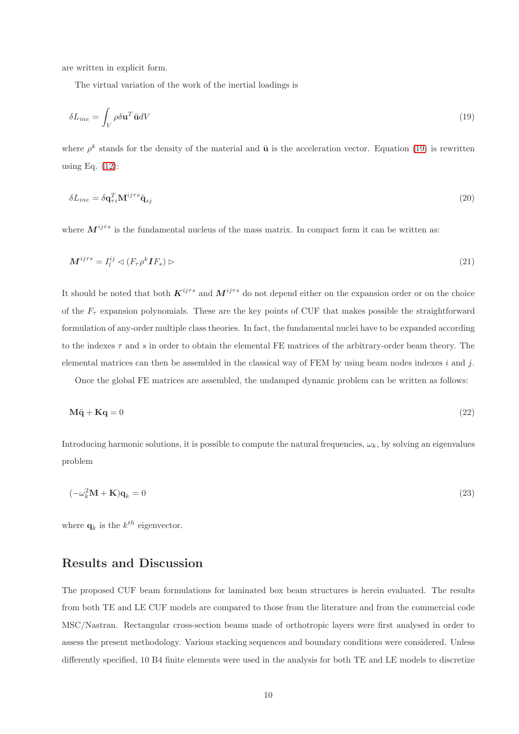are written in explicit form.

The virtual variation of the work of the inertial loadings is

$$
\delta L_{ine} = \int_{V} \rho \delta \mathbf{u}^{T} \ddot{\mathbf{u}} dV \tag{19}
$$

where  $\rho^k$  stands for the density of the material and  $\ddot{\mathbf{u}}$  is the acceleration vector. Equation (19) is rewritten using Eq. (12):

$$
\delta L_{ine} = \delta \mathbf{q}_{\tau i}^T \mathbf{M}^{ij\tau s} \ddot{\mathbf{q}}_{sj} \tag{20}
$$

where  $M^{ij\tau s}$  is the fundamental nucleus of the mass matrix. In compact form it can be written as:

$$
\mathbf{M}^{ij\tau s} = I_l^{ij} \triangleleft (F_\tau \rho^k \mathbf{I} F_s) \triangleright
$$
\n<sup>(21)</sup>

It should be noted that both  $K^{ij\tau s}$  and  $M^{ij\tau s}$  do not depend either on the expansion order or on the choice of the  $F_{\tau}$  expansion polynomials. These are the key points of CUF that makes possible the straightforward formulation of any-order multiple class theories. In fact, the fundamental nuclei have to be expanded according to the indexes  $\tau$  and s in order to obtain the elemental FE matrices of the arbitrary-order beam theory. The elemental matrices can then be assembled in the classical way of FEM by using beam nodes indexes  $i$  and  $j$ .

Once the global FE matrices are assembled, the undamped dynamic problem can be written as follows:

$$
M\ddot{q} + Kq = 0 \tag{22}
$$

Introducing harmonic solutions, it is possible to compute the natural frequencies,  $\omega_k$ , by solving an eigenvalues problem

$$
(-\omega_k^2 \mathbf{M} + \mathbf{K}) \mathbf{q}_k = 0 \tag{23}
$$

where  $\mathbf{q}_k$  is the  $k^{th}$  eigenvector.

## Results and Discussion

The proposed CUF beam formulations for laminated box beam structures is herein evaluated. The results from both TE and LE CUF models are compared to those from the literature and from the commercial code MSC/Nastran. Rectangular cross-section beams made of orthotropic layers were first analysed in order to assess the present methodology. Various stacking sequences and boundary conditions were considered. Unless differently specified, 10 B4 finite elements were used in the analysis for both TE and LE models to discretize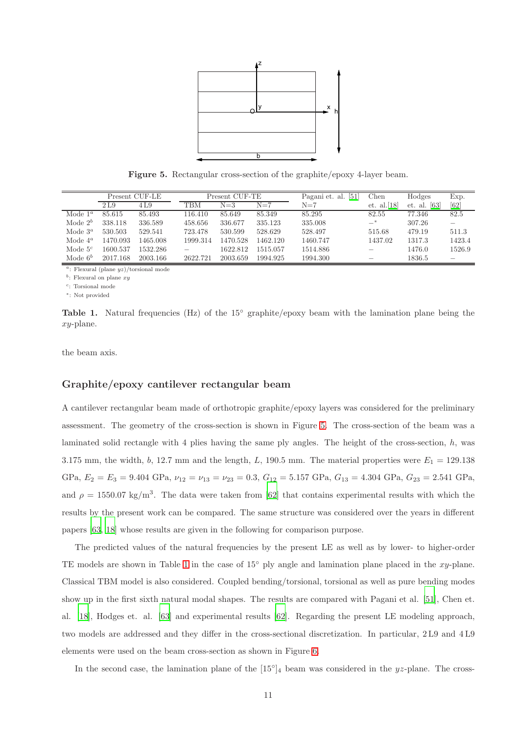

Figure 5. Rectangular cross-section of the graphite/epoxy 4-layer beam.

|            | Present CUF-LE |          | Present CUF-TE |          |          | $\left[51\right]$<br>Pagani et. al. | Chen           | Hodges                        | Exp.   |
|------------|----------------|----------|----------------|----------|----------|-------------------------------------|----------------|-------------------------------|--------|
|            | 2 L.9          | 4 L.9    | TBM            | $N = 3$  | $N=7$    | $N=7$                               | et. al. $[18]$ | $\lceil 63 \rceil$<br>et. al. | [62]   |
| Mode $1^a$ | 85.615         | 85.493   | 116.410        | 85.649   | 85.349   | 85.295                              | 82.55          | 77.346                        | 82.5   |
| Mode $2^b$ | 338.118        | 336.589  | 458.656        | 336.677  | 335.123  | 335.008                             | $-$ *          | 307.26                        |        |
| Mode $3^a$ | 530.503        | 529.541  | 723.478        | 530.599  | 528.629  | 528.497                             | 515.68         | 479.19                        | 511.3  |
| Mode $4^a$ | 1470.093       | 1465.008 | 1999.314       | 1470.528 | 1462.120 | 1460.747                            | 1437.02        | 1317.3                        | 1423.4 |
| Mode $5^c$ | 1600.537       | 1532.286 |                | 1622.812 | 1515.057 | 1514.886                            |                | 1476.0                        | 1526.9 |
| Mode $6^b$ | 2017.168       | 2003.166 | 2622.721       | 2003.659 | 1994.925 | 1994.300                            |                | 1836.5                        |        |

<sup>a</sup>: Flexural (plane  $yz$ )/torsional mode

 $b$ : Flexural on plane  $xy$ 

 $c$ : Torsional mode

∗ : Not provided

Table 1. Natural frequencies (Hz) of the 15° graphite/epoxy beam with the lamination plane being the xy-plane.

the beam axis.

#### Graphite/epoxy cantilever rectangular beam

A cantilever rectangular beam made of orthotropic graphite/epoxy layers was considered for the preliminary assessment. The geometry of the cross-section is shown in Figure 5. The cross-section of the beam was a laminated solid rectangle with 4 plies having the same ply angles. The height of the cross-section,  $h$ , was 3.175 mm, the width, b, 12.7 mm and the length, L, 190.5 mm. The material properties were  $E_1 = 129.138$ GPa,  $E_2 = E_3 = 9.404$  GPa,  $\nu_{12} = \nu_{13} = \nu_{23} = 0.3$ ,  $G_{12} = 5.157$  GPa,  $G_{13} = 4.304$  GPa,  $G_{23} = 2.541$  GPa, and  $\rho = 1550.07 \text{ kg/m}^3$ . The data were taken from [62] that contains experimental results with which the results by the present work can be compared. The same structure was considered over the years in different papers [63, 18] whose results are given in the following for comparison purpose.

The predicted values of the natural frequencies by the present LE as well as by lower- to higher-order TE models are shown in Table 1 in the case of  $15°$  ply angle and lamination plane placed in the xy-plane. Classical TBM model is also considered. Coupled bending/torsional, torsional as well as pure bending modes show up in the first sixth natural modal shapes. The results are compared with Pagani et al. [51], Chen et. al. [18], Hodges et. al. [63] and experimental results [62]. Regarding the present LE modeling approach, two models are addressed and they differ in the cross-sectional discretization. In particular, 2 L9 and 4 L9 elements were used on the beam cross-section as shown in Figure 6.

In the second case, the lamination plane of the  $[15^{\circ}]_4$  beam was considered in the yz-plane. The cross-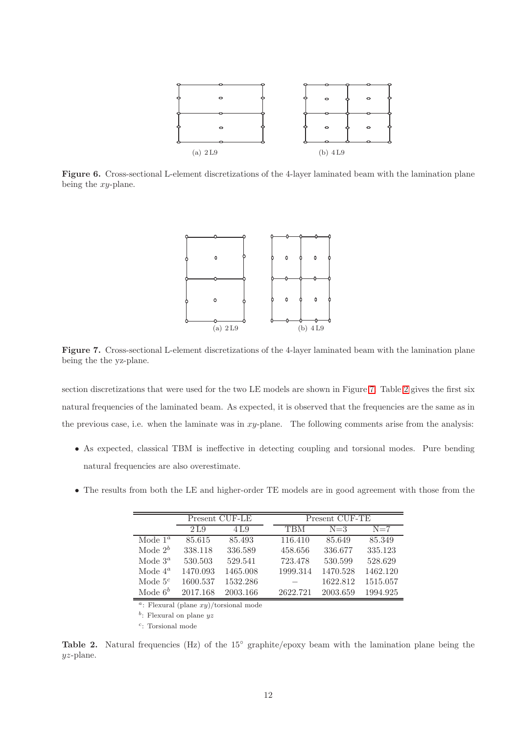

Figure 6. Cross-sectional L-element discretizations of the 4-layer laminated beam with the lamination plane being the xy-plane.



Figure 7. Cross-sectional L-element discretizations of the 4-layer laminated beam with the lamination plane being the the yz-plane.

section discretizations that were used for the two LE models are shown in Figure 7. Table 2 gives the first six natural frequencies of the laminated beam. As expected, it is observed that the frequencies are the same as in the previous case, i.e. when the laminate was in  $xy$ -plane. The following comments arise from the analysis:

- As expected, classical TBM is ineffective in detecting coupling and torsional modes. Pure bending natural frequencies are also overestimate.
- The results from both the LE and higher-order TE models are in good agreement with those from the

|            |          | Present CUF-LE | Present CUF-TE |          |          |  |  |  |
|------------|----------|----------------|----------------|----------|----------|--|--|--|
|            | 2 L.9    | 4 L.9          | TBM            | $N=3$    | $N=7$    |  |  |  |
| Mode $1^a$ | 85.615   | 85.493         | 116.410        | 85.649   | 85.349   |  |  |  |
| Mode $2^b$ | 338.118  | 336.589        | 458.656        | 336.677  | 335.123  |  |  |  |
| Mode $3^a$ | 530.503  | 529.541        | 723.478        | 530.599  | 528.629  |  |  |  |
| Mode $4^a$ | 1470.093 | 1465.008       | 1999.314       | 1470.528 | 1462.120 |  |  |  |
| Mode $5^c$ | 1600.537 | 1532.286       |                | 1622.812 | 1515.057 |  |  |  |
| Mode $6^b$ | 2017.168 | 2003.166       | 2622.721       | 2003.659 | 1994.925 |  |  |  |

<sup>a</sup>: Flexural (plane  $xy$ )/torsional mode

 $b$ : Flexural on plane  $yz$ 

 $c$ : Torsional mode

Table 2. Natural frequencies (Hz) of the 15° graphite/epoxy beam with the lamination plane being the yz-plane.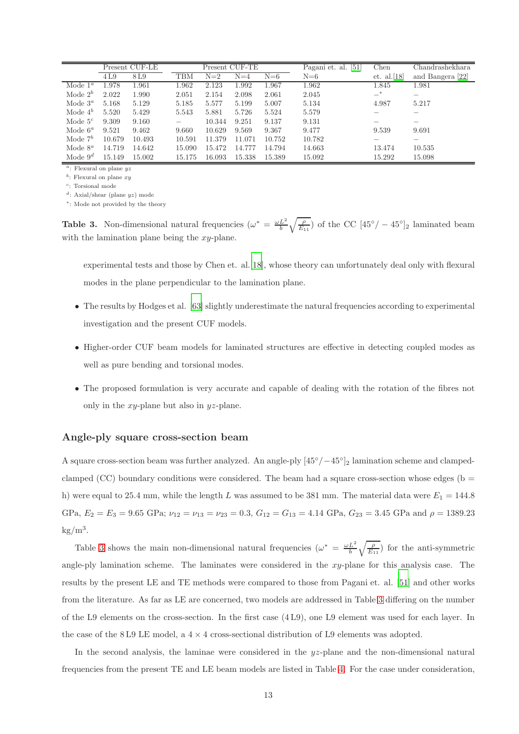|            | Present CUF-LE |        | Present CUF-TE |        |        |        | [51]<br>Pagani et. al. | Chen           | Chandrashekhara  |
|------------|----------------|--------|----------------|--------|--------|--------|------------------------|----------------|------------------|
|            | 4L9            | 8L9    | TBM            | $N=2$  | $N=4$  | $N=6$  | $N=6$                  | et. al. $[18]$ | and Bangera [22] |
| Mode $1^a$ | 1.978          | 1.961  | 1.962          | 2.123  | 1.992  | 1.967  | 1.962                  | 1.845          | 1.981            |
| Mode $2^b$ | 2.022          | 1.990  | 2.051          | 2.154  | 2.098  | 2.061  | 2.045                  | $-$ *          |                  |
| Mode $3^a$ | 5.168          | 5.129  | 5.185          | 5.577  | 5.199  | 5.007  | 5.134                  | 4.987          | 5.217            |
| Mode $4^b$ | 5.520          | 5.429  | 5.543          | 5.881  | 5.726  | 5.524  | 5.579                  |                |                  |
| Mode $5^c$ | 9.309          | 9.160  |                | 10.344 | 9.251  | 9.137  | 9.131                  |                |                  |
| Mode $6^a$ | 9.521          | 9.462  | 9.660          | 10.629 | 9.569  | 9.367  | 9.477                  | 9.539          | 9.691            |
| Mode $7^b$ | 10.679         | 10.493 | 10.591         | 11.379 | 11.071 | 10.752 | 10.782                 |                |                  |
| Mode $8^a$ | 14.719         | 14.642 | 15.090         | 15.472 | 14.777 | 14.794 | 14.663                 | 13.474         | 10.535           |
| Mode $9^d$ | 15.149         | 15.002 | 15.175         | 16.093 | 15.338 | 15.389 | 15.092                 | 15.292         | 15.098           |

 $a$ : Flexural on plane  $yz$ 

 $b$ : Flexural on plane  $xy$ 

 $c$ : Torsional mode

 $d$ : Axial/shear (plane  $yz$ ) mode ∗ : Mode not provided by the theory

**Table 3.** Non-dimensional natural frequencies  $(\omega^* = \frac{\omega L^2}{b} \sqrt{\frac{\rho}{E_{11}}} )$  of the CC  $[45^{\circ}/-45^{\circ}]_2$  laminated beam with the lamination plane being the  $xy$ -plane.

experimental tests and those by Chen et. al.[18], whose theory can unfortunately deal only with flexural modes in the plane perpendicular to the lamination plane.

- The results by Hodges et al. [63] slightly underestimate the natural frequencies according to experimental investigation and the present CUF models.
- Higher-order CUF beam models for laminated structures are effective in detecting coupled modes as well as pure bending and torsional modes.
- The proposed formulation is very accurate and capable of dealing with the rotation of the fibres not only in the  $xy$ -plane but also in  $yz$ -plane.

#### Angle-ply square cross-section beam

A square cross-section beam was further analyzed. An angle-ply  $[45^{\circ}/-45^{\circ}]_2$  lamination scheme and clampedclamped (CC) boundary conditions were considered. The beam had a square cross-section whose edges ( $b =$ h) were equal to 25.4 mm, while the length L was assumed to be 381 mm. The material data were  $E_1 = 144.8$ GPa,  $E_2 = E_3 = 9.65$  GPa;  $\nu_{12} = \nu_{13} = \nu_{23} = 0.3$ ,  $G_{12} = G_{13} = 4.14$  GPa,  $G_{23} = 3.45$  GPa and  $\rho = 1389.23$  $\text{kg/m}^3$ .

Table 3 shows the main non-dimensional natural frequencies  $(\omega^* = \frac{\omega L^2}{b} \sqrt{\frac{\rho}{E_{11}}} )$  for the anti-symmetric angle-ply lamination scheme. The laminates were considered in the  $xy$ -plane for this analysis case. The results by the present LE and TE methods were compared to those from Pagani et. al. [51] and other works from the literature. As far as LE are concerned, two models are addressed in Table 3 differing on the number of the L9 elements on the cross-section. In the first case (4 L9), one L9 element was used for each layer. In the case of the 8L9 LE model, a  $4 \times 4$  cross-sectional distribution of L9 elements was adopted.

In the second analysis, the laminae were considered in the  $yz$ -plane and the non-dimensional natural frequencies from the present TE and LE beam models are listed in Table 4. For the case under consideration,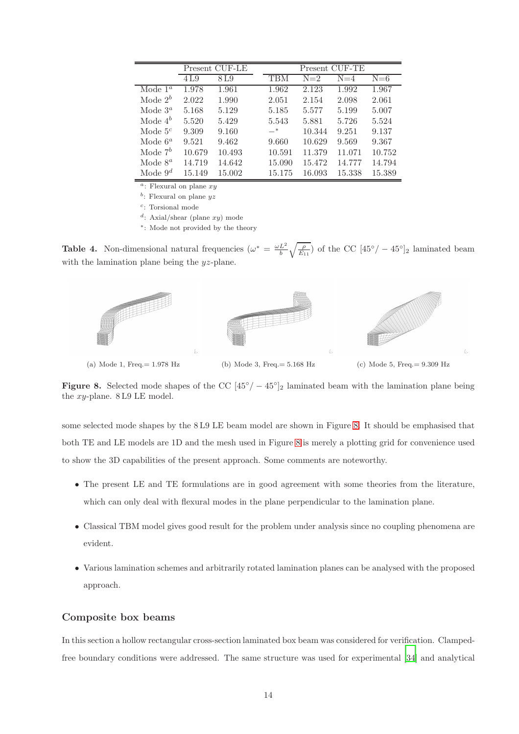|            | Present CUF-LE |        |            |        | Present CUF-TE |        |
|------------|----------------|--------|------------|--------|----------------|--------|
|            | 4 L.9          | 8 L.9  | <b>TBM</b> | $N=2$  | $N=4$          | $N=6$  |
| Mode $1^a$ | 1.978          | 1.961  | 1.962      | 2.123  | 1.992          | 1.967  |
| Mode $2^b$ | 2.022          | 1.990  | 2.051      | 2.154  | 2.098          | 2.061  |
| Mode $3^a$ | 5.168          | 5.129  | 5.185      | 5.577  | 5.199          | 5.007  |
| Mode $4^b$ | 5.520          | 5.429  | 5.543      | 5.881  | 5.726          | 5.524  |
| Mode $5^c$ | 9.309          | 9.160  | $-$ *      | 10.344 | 9.251          | 9.137  |
| Mode $6^a$ | 9.521          | 9.462  | 9.660      | 10.629 | 9.569          | 9.367  |
| Mode $7^b$ | 10.679         | 10.493 | 10.591     | 11.379 | 11.071         | 10.752 |
| Mode $8^a$ | 14.719         | 14.642 | 15.090     | 15.472 | 14.777         | 14.794 |
| Mode $9^d$ | 15.149         | 15.002 | 15.175     | 16.093 | 15.338         | 15.389 |

 $\overline{a}$ : Flexural on plane xy

 $b$ : Flexural on plane  $yz$ 

 $c$ : Torsional mode

d: Axial/shear (plane xy) mode

∗ : Mode not provided by the theory

**Table 4.** Non-dimensional natural frequencies  $(\omega^* = \frac{\omega L^2}{b} \sqrt{\frac{\rho}{E_{11}}} )$  of the CC  $[45^{\circ}/-45^{\circ}]_2$  laminated beam with the lamination plane being the  $yz$ -plane.



Figure 8. Selected mode shapes of the CC  $[45^{\circ}/-45^{\circ}]_2$  laminated beam with the lamination plane being the xy-plane. 8 L9 LE model.

some selected mode shapes by the 8 L9 LE beam model are shown in Figure 8. It should be emphasised that both TE and LE models are 1D and the mesh used in Figure 8 is merely a plotting grid for convenience used to show the 3D capabilities of the present approach. Some comments are noteworthy.

- The present LE and TE formulations are in good agreement with some theories from the literature, which can only deal with flexural modes in the plane perpendicular to the lamination plane.
- Classical TBM model gives good result for the problem under analysis since no coupling phenomena are evident.
- Various lamination schemes and arbitrarily rotated lamination planes can be analysed with the proposed approach.

## Composite box beams

In this section a hollow rectangular cross-section laminated box beam was considered for verification. Clampedfree boundary conditions were addressed. The same structure was used for experimental [34] and analytical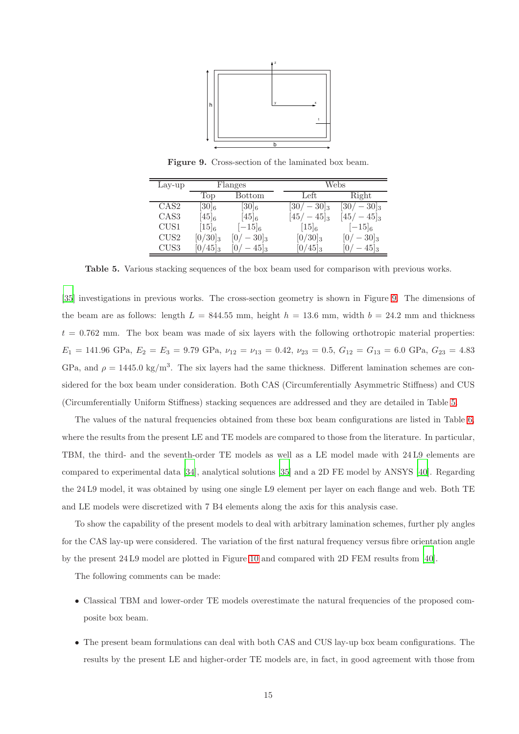

Figure 9. Cross-section of the laminated box beam.

| Lay-up           | Flanges    |                    |  | Webs                 |                    |  |  |  |
|------------------|------------|--------------------|--|----------------------|--------------------|--|--|--|
|                  | Top        | Bottom             |  | Left                 | Right              |  |  |  |
| CAS <sub>2</sub> | $[30]_6$   | $[30]_6$           |  | $-30\vert_3$<br> 307 | $-30]_3$<br>30/    |  |  |  |
| CAS <sub>3</sub> | $(45)_{6}$ | $[45]_6$           |  | $[45/ - 45]_3$       | $[45/-45]_3$       |  |  |  |
| CUS1             | $[15]_6$   | $-15 _6$           |  | $[15]_6$             | $[-15]_6$          |  |  |  |
| CUS <sub>2</sub> | $[0/30]_3$ | $-30]_3$           |  | $[0/30]_3$           | $-30 _3$           |  |  |  |
| CUS3             | $ 0/45 _3$ | $-45$ <sub>3</sub> |  | $[0/45]_3$           | $-45$ <sub>3</sub> |  |  |  |

Table 5. Various stacking sequences of the box beam used for comparison with previous works.

[35] investigations in previous works. The cross-section geometry is shown in Figure 9. The dimensions of the beam are as follows: length  $L = 844.55$  mm, height  $h = 13.6$  mm, width  $b = 24.2$  mm and thickness  $t = 0.762$  mm. The box beam was made of six layers with the following orthotropic material properties:  $E_1 = 141.96$  GPa,  $E_2 = E_3 = 9.79$  GPa,  $\nu_{12} = \nu_{13} = 0.42$ ,  $\nu_{23} = 0.5$ ,  $G_{12} = G_{13} = 6.0$  GPa,  $G_{23} = 4.83$ GPa, and  $\rho = 1445.0 \text{ kg/m}^3$ . The six layers had the same thickness. Different lamination schemes are considered for the box beam under consideration. Both CAS (Circumferentially Asymmetric Stiffness) and CUS (Circumferentially Uniform Stiffness) stacking sequences are addressed and they are detailed in Table 5.

The values of the natural frequencies obtained from these box beam configurations are listed in Table 6, where the results from the present LE and TE models are compared to those from the literature. In particular, TBM, the third- and the seventh-order TE models as well as a LE model made with 24 L9 elements are compared to experimental data [34], analytical solutions [35] and a 2D FE model by ANSYS [40]. Regarding the 24 L9 model, it was obtained by using one single L9 element per layer on each flange and web. Both TE and LE models were discretized with 7 B4 elements along the axis for this analysis case.

To show the capability of the present models to deal with arbitrary lamination schemes, further ply angles for the CAS lay-up were considered. The variation of the first natural frequency versus fibre orientation angle by the present 24 L9 model are plotted in Figure 10 and compared with 2D FEM results from [40].

The following comments can be made:

- Classical TBM and lower-order TE models overestimate the natural frequencies of the proposed composite box beam.
- The present beam formulations can deal with both CAS and CUS lay-up box beam configurations. The results by the present LE and higher-order TE models are, in fact, in good agreement with those from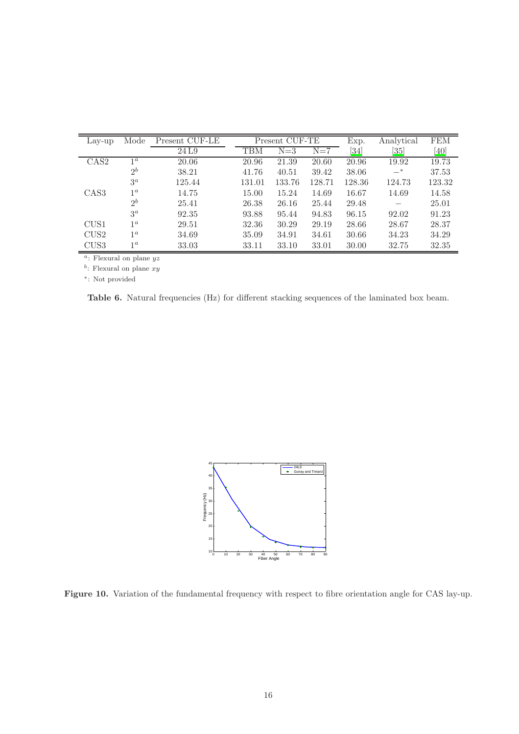| Lay-up                   | Mode           | Present CUF-LE |        | Present CUF-TE |        |                    | Analytical | <b>FEM</b> |
|--------------------------|----------------|----------------|--------|----------------|--------|--------------------|------------|------------|
|                          |                | 24L9           | TBM    | $N=3$          | $N=7$  | $\left[ 34\right]$ | [35]       | [40]       |
| $\overline{\text{CAS2}}$ | 1 <sup>a</sup> | 20.06          | 20.96  | 21.39          | 20.60  | 20.96              | 19.92      | 19.73      |
|                          | $2^b$          | 38.21          | 41.76  | 40.51          | 39.42  | 38.06              | $-$ *      | 37.53      |
|                          | $3^a$          | 125.44         | 131.01 | 133.76         | 128.71 | 128.36             | 124.73     | 123.32     |
| CAS <sub>3</sub>         | 1 <sup>a</sup> | 14.75          | 15.00  | 15.24          | 14.69  | 16.67              | 14.69      | 14.58      |
|                          | $2^b$          | 25.41          | 26.38  | 26.16          | 25.44  | 29.48              |            | 25.01      |
|                          | $3^a$          | 92.35          | 93.88  | 95.44          | 94.83  | 96.15              | 92.02      | 91.23      |
| CUS1                     | 1 <sup>a</sup> | 29.51          | 32.36  | 30.29          | 29.19  | 28.66              | 28.67      | 28.37      |
| CUS <sub>2</sub>         | 1 <sup>a</sup> | 34.69          | 35.09  | 34.91          | 34.61  | 30.66              | 34.23      | 34.29      |
| CUS <sub>3</sub>         | 1 <sup>a</sup> | 33.03          | 33.11  | 33.10          | 33.01  | 30.00              | 32.75      | 32.35      |

<sup>a</sup>: Flexural on plane  $yz$ 

 $b$ : Flexural on plane  $xy$ 

∗ : Not provided

Table 6. Natural frequencies (Hz) for different stacking sequences of the laminated box beam.



Figure 10. Variation of the fundamental frequency with respect to fibre orientation angle for CAS lay-up.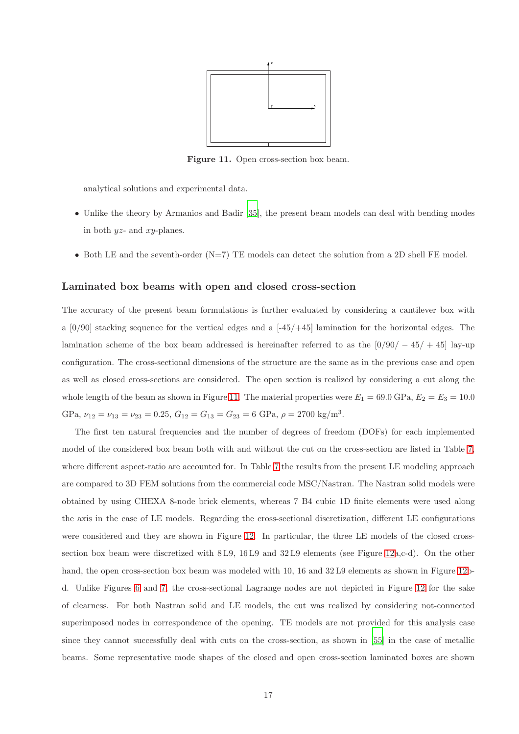

Figure 11. Open cross-section box beam.

analytical solutions and experimental data.

- Unlike the theory by Armanios and Badir [35], the present beam models can deal with bending modes in both  $yz$ - and  $xy$ -planes.
- Both LE and the seventh-order  $(N=7)$  TE models can detect the solution from a 2D shell FE model.

#### Laminated box beams with open and closed cross-section

The accuracy of the present beam formulations is further evaluated by considering a cantilever box with a  $[0/90]$  stacking sequence for the vertical edges and a  $[-45/+45]$  lamination for the horizontal edges. The lamination scheme of the box beam addressed is hereinafter referred to as the  $\left[\frac{0}{90}/\frac{-45}{+45}\right]$  lay-up configuration. The cross-sectional dimensions of the structure are the same as in the previous case and open as well as closed cross-sections are considered. The open section is realized by considering a cut along the whole length of the beam as shown in Figure 11. The material properties were  $E_1 = 69.0 \text{ GPa}, E_2 = E_3 = 10.0$ GPa,  $\nu_{12} = \nu_{13} = \nu_{23} = 0.25, G_{12} = G_{13} = G_{23} = 6$  GPa,  $\rho = 2700$  kg/m<sup>3</sup>.

The first ten natural frequencies and the number of degrees of freedom (DOFs) for each implemented model of the considered box beam both with and without the cut on the cross-section are listed in Table 7, where different aspect-ratio are accounted for. In Table 7 the results from the present LE modeling approach are compared to 3D FEM solutions from the commercial code MSC/Nastran. The Nastran solid models were obtained by using CHEXA 8-node brick elements, whereas 7 B4 cubic 1D finite elements were used along the axis in the case of LE models. Regarding the cross-sectional discretization, different LE configurations were considered and they are shown in Figure 12. In particular, the three LE models of the closed crosssection box beam were discretized with 8 L9, 16 L9 and 32 L9 elements (see Figure 12a,c-d). On the other hand, the open cross-section box beam was modeled with 10, 16 and 32 L9 elements as shown in Figure 12bd. Unlike Figures 6 and 7, the cross-sectional Lagrange nodes are not depicted in Figure 12 for the sake of clearness. For both Nastran solid and LE models, the cut was realized by considering not-connected superimposed nodes in correspondence of the opening. TE models are not provided for this analysis case since they cannot successfully deal with cuts on the cross-section, as shown in [55] in the case of metallic beams. Some representative mode shapes of the closed and open cross-section laminated boxes are shown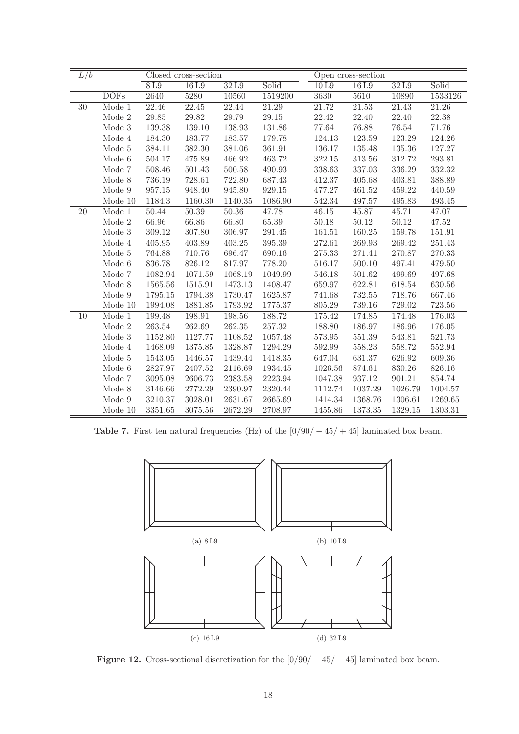| $\overline{L/b}$ |                          |           | Closed cross-section |            |             |            | Open cross-section |            |            |  |
|------------------|--------------------------|-----------|----------------------|------------|-------------|------------|--------------------|------------|------------|--|
|                  |                          | 8L9       | 16L9                 | 32L9       | Solid       | 10L9       | 16L9               | 32L9       | Solid      |  |
|                  | <b>DOFs</b>              | 2640      | 5280                 | 10560      | 1519200     | 3630       | 5610               | 10890      | 1533126    |  |
| $30\,$           | Mode 1                   | 22.46     | 22.45                | 22.44      | 21.29       | 21.72      | 21.53              | 21.43      | 21.26      |  |
|                  | Mode 2                   | $29.85\,$ | 29.82                | 29.79      | 29.15       | 22.42      | 22.40              | 22.40      | 22.38      |  |
|                  | Mode 3                   | 139.38    | 139.10               | 138.93     | 131.86      | 77.64      | 76.88              | 76.54      | 71.76      |  |
|                  | Mode 4                   | 184.30    | 183.77               | 183.57     | 179.78      | 124.13     | 123.59             | 123.29     | 124.26     |  |
|                  | Mode 5                   | 384.11    | 382.30               | $381.06\,$ | 361.91      | 136.17     | 135.48             | 135.36     | 127.27     |  |
|                  | Mode 6                   | 504.17    | 475.89               | 466.92     | 463.72      | 322.15     | 313.56             | $312.72\,$ | 293.81     |  |
|                  | Mode 7                   | 508.46    | 501.43               | 500.58     | 490.93      | 338.63     | 337.03             | 336.29     | $332.32\,$ |  |
|                  | Mode $8$                 | 736.19    | 728.61               | 722.80     | 687.43      | 412.37     | 405.68             | 403.81     | 388.89     |  |
|                  | Mode 9                   | 957.15    | 948.40               | 945.80     | 929.15      | 477.27     | 461.52             | 459.22     | 440.59     |  |
|                  | Mode 10                  | 1184.3    | 1160.30              | 1140.35    | 1086.90     | 542.34     | 497.57             | 495.83     | 493.45     |  |
| 20               | Mode $1$                 | 50.44     | 50.39                | 50.36      | 47.78       | 46.15      | 45.87              | 45.71      | 47.07      |  |
|                  | Mode 2                   | 66.96     | 66.86                | 66.80      | 65.39       | 50.18      | 50.12              | 50.12      | 47.52      |  |
|                  | Mode 3                   | 309.12    | 307.80               | 306.97     | 291.45      | 161.51     | 160.25             | 159.78     | 151.91     |  |
|                  | Mode 4                   | 405.95    | 403.89               | 403.25     | $395.39\,$  | 272.61     | 269.93             | 269.42     | 251.43     |  |
|                  | Mode $5\,$               | 764.88    | 710.76               | 696.47     | 690.16      | $275.33\,$ | 271.41             | 270.87     | 270.33     |  |
|                  | Mode 6                   | 836.78    | 826.12               | 817.97     | 778.20      | 516.17     | 500.10             | 497.41     | 479.50     |  |
|                  | Mode 7                   | 1082.94   | 1071.59              | 1068.19    | 1049.99     | 546.18     | 501.62             | 499.69     | 497.68     |  |
|                  | Mode 8                   | 1565.56   | 1515.91              | 1473.13    | 1408.47     | 659.97     | 622.81             | 618.54     | 630.56     |  |
|                  | Mode $9$                 | 1795.15   | 1794.38              | 1730.47    | 1625.87     | 741.68     | 732.55             | 718.76     | 667.46     |  |
|                  | Mode 10                  | 1994.08   | 1881.85              | 1793.92    | 1775.37     | 805.29     | 739.16             | 729.02     | 723.56     |  |
| 10               | Mode 1                   | 199.48    | 198.91               | 198.56     | 188.72      | 175.42     | 174.85             | 174.48     | 176.03     |  |
|                  | Mode 2                   | 263.54    | 262.69               | 262.35     | 257.32      | 188.80     | 186.97             | 186.96     | 176.05     |  |
|                  | $\operatorname*{Mode}$ 3 | 1152.80   | 1127.77              | 1108.52    | 1057.48     | $573.95\,$ | 551.39             | 543.81     | 521.73     |  |
|                  | Mode 4                   | 1468.09   | 1375.85              | 1328.87    | 1294.29     | 592.99     | 558.23             | 558.72     | 552.94     |  |
|                  | Mode 5                   | 1543.05   | 1446.57              | 1439.44    | 1418.35     | 647.04     | 631.37             | 626.92     | 609.36     |  |
|                  | Mode 6                   | 2827.97   | 2407.52              | 2116.69    | 1934.45     | 1026.56    | 874.61             | 830.26     | 826.16     |  |
|                  | Mode 7                   | 3095.08   | 2606.73              | 2383.58    | $2223.94\,$ | 1047.38    | 937.12             | 901.21     | 854.74     |  |
|                  | Mode 8                   | 3146.66   | 2772.29              | 2390.97    | 2320.44     | 1112.74    | 1037.29            | 1026.79    | 1004.57    |  |
|                  | Mode $9$                 | 3210.37   | 3028.01              | 2631.67    | 2665.69     | 1414.34    | 1368.76            | 1306.61    | 1269.65    |  |
|                  | Mode 10                  | 3351.65   | 3075.56              | 2672.29    | 2708.97     | 1455.86    | 1373.35            | 1329.15    | 1303.31    |  |

Table 7. First ten natural frequencies (Hz) of the  $[0/90/-45/+45]$  laminated box beam.



Figure 12. Cross-sectional discretization for the  $[0/90/-45/+45]$  laminated box beam.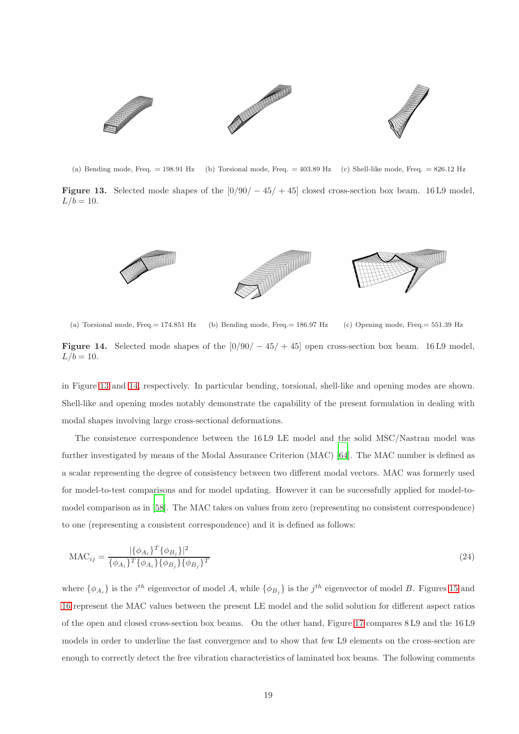

(a) Bending mode, Freq. = 198.91 Hz (b) Torsional mode, Freq. = 403.89 Hz (c) Shell-like mode, Freq. = 826.12 Hz

Figure 13. Selected mode shapes of the  $[0/90/-45/+45]$  closed cross-section box beam. 16 L9 model,  $L/b = 10$ .



(a) Torsional mode, Freq.= 174.851 Hz (b) Bending mode, Freq.= 186.97 Hz (c) Opening mode, Freq.= 551.39 Hz

Figure 14. Selected mode shapes of the  $\left[\frac{0}{90} / -45/ +45\right]$  open cross-section box beam. 16 L9 model,  $L/b = 10$ .

in Figure 13 and 14, respectively. In particular bending, torsional, shell-like and opening modes are shown. Shell-like and opening modes notably demonstrate the capability of the present formulation in dealing with modal shapes involving large cross-sectional deformations.

The consistence correspondence between the 16 L9 LE model and the solid MSC/Nastran model was further investigated by means of the Modal Assurance Criterion (MAC) [64]. The MAC number is defined as a scalar representing the degree of consistency between two different modal vectors. MAC was formerly used for model-to-test comparisons and for model updating. However it can be successfully applied for model-tomodel comparison as in [58]. The MAC takes on values from zero (representing no consistent correspondence) to one (representing a consistent correspondence) and it is defined as follows:

$$
MAC_{ij} = \frac{|\{\phi_{A_i}\}^T \{\phi_{B_j}\}|^2}{\{\phi_{A_i}\}^T \{\phi_{A_i}\} \{\phi_{B_j}\} \{\phi_{B_j}\}^T}
$$
(24)

where  $\{\phi_{A_i}\}\$ is the  $i^{th}$  eigenvector of model A, while  $\{\phi_{B_j}\}\$ is the  $j^{th}$  eigenvector of model B. Figures 15 and 16 represent the MAC values between the present LE model and the solid solution for different aspect ratios of the open and closed cross-section box beams. On the other hand, Figure 17 compares 8 L9 and the 16 L9 models in order to underline the fast convergence and to show that few L9 elements on the cross-section are enough to correctly detect the free vibration characteristics of laminated box beams. The following comments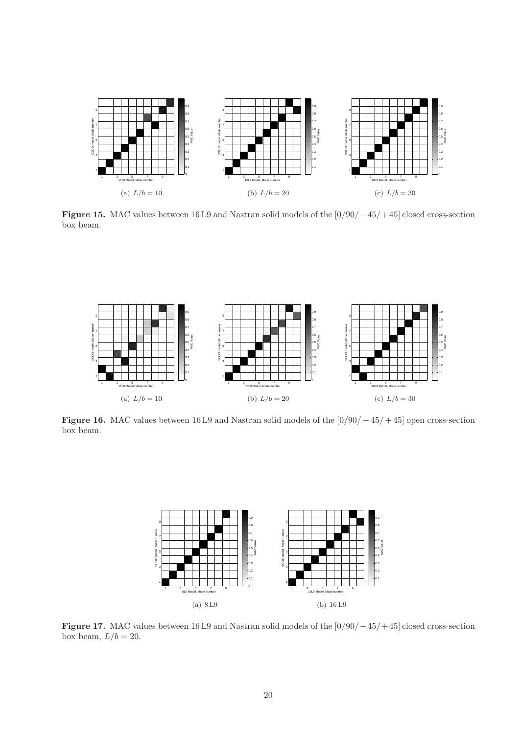

Figure 15. MAC values between 16 L9 and Nastran solid models of the [0/90/−45/+ 45] closed cross-section box beam.



Figure 16. MAC values between 16 L9 and Nastran solid models of the [0/90/−45/+ 45] open cross-section box beam.



Figure 17. MAC values between 16 L9 and Nastran solid models of the [0/90/−45/+ 45] closed cross-section box beam,  $L/b = 20$ .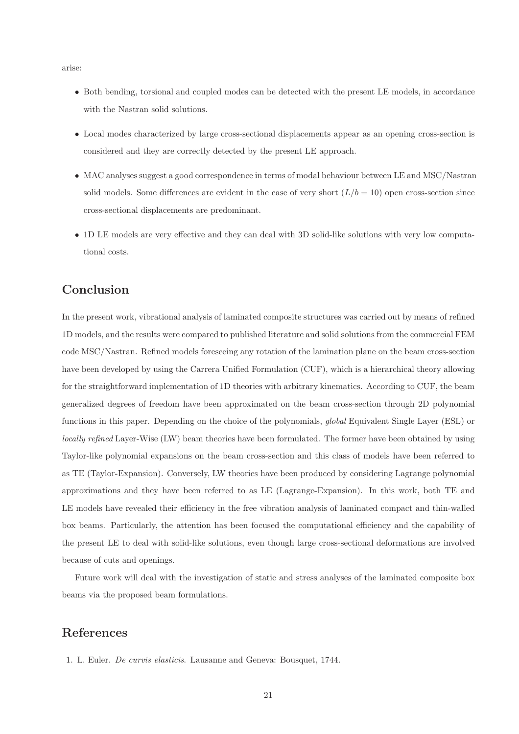arise:

- Both bending, torsional and coupled modes can be detected with the present LE models, in accordance with the Nastran solid solutions.
- Local modes characterized by large cross-sectional displacements appear as an opening cross-section is considered and they are correctly detected by the present LE approach.
- MAC analyses suggest a good correspondence in terms of modal behaviour between LE and MSC/Nastran solid models. Some differences are evident in the case of very short  $(L/b = 10)$  open cross-section since cross-sectional displacements are predominant.
- 1D LE models are very effective and they can deal with 3D solid-like solutions with very low computational costs.

# Conclusion

In the present work, vibrational analysis of laminated composite structures was carried out by means of refined 1D models, and the results were compared to published literature and solid solutions from the commercial FEM code MSC/Nastran. Refined models foreseeing any rotation of the lamination plane on the beam cross-section have been developed by using the Carrera Unified Formulation (CUF), which is a hierarchical theory allowing for the straightforward implementation of 1D theories with arbitrary kinematics. According to CUF, the beam generalized degrees of freedom have been approximated on the beam cross-section through 2D polynomial functions in this paper. Depending on the choice of the polynomials, *global* Equivalent Single Layer (ESL) or *locally refined* Layer-Wise (LW) beam theories have been formulated. The former have been obtained by using Taylor-like polynomial expansions on the beam cross-section and this class of models have been referred to as TE (Taylor-Expansion). Conversely, LW theories have been produced by considering Lagrange polynomial approximations and they have been referred to as LE (Lagrange-Expansion). In this work, both TE and LE models have revealed their efficiency in the free vibration analysis of laminated compact and thin-walled box beams. Particularly, the attention has been focused the computational efficiency and the capability of the present LE to deal with solid-like solutions, even though large cross-sectional deformations are involved because of cuts and openings.

Future work will deal with the investigation of static and stress analyses of the laminated composite box beams via the proposed beam formulations.

# References

1. L. Euler. *De curvis elasticis*. Lausanne and Geneva: Bousquet, 1744.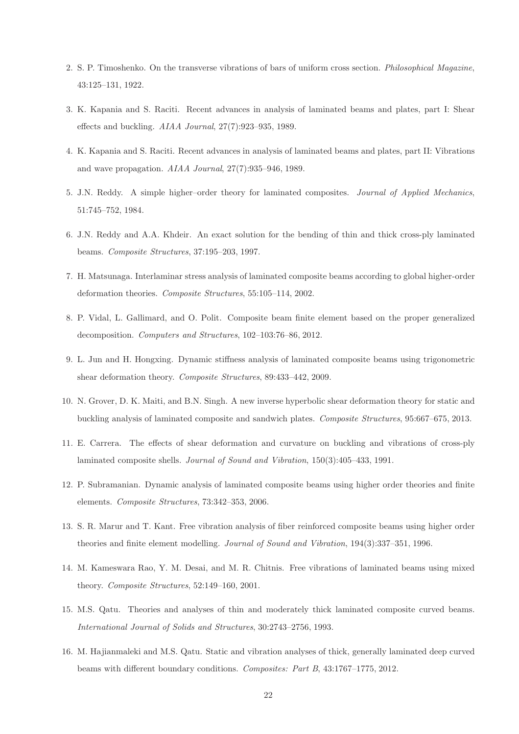- 2. S. P. Timoshenko. On the transverse vibrations of bars of uniform cross section. *Philosophical Magazine*, 43:125–131, 1922.
- 3. K. Kapania and S. Raciti. Recent advances in analysis of laminated beams and plates, part I: Shear effects and buckling. *AIAA Journal*, 27(7):923–935, 1989.
- 4. K. Kapania and S. Raciti. Recent advances in analysis of laminated beams and plates, part II: Vibrations and wave propagation. *AIAA Journal*, 27(7):935–946, 1989.
- 5. J.N. Reddy. A simple higher–order theory for laminated composites. *Journal of Applied Mechanics*, 51:745–752, 1984.
- 6. J.N. Reddy and A.A. Khdeir. An exact solution for the bending of thin and thick cross-ply laminated beams. *Composite Structures*, 37:195–203, 1997.
- 7. H. Matsunaga. Interlaminar stress analysis of laminated composite beams according to global higher-order deformation theories. *Composite Structures*, 55:105–114, 2002.
- 8. P. Vidal, L. Gallimard, and O. Polit. Composite beam finite element based on the proper generalized decomposition. *Computers and Structures*, 102–103:76–86, 2012.
- 9. L. Jun and H. Hongxing. Dynamic stiffness analysis of laminated composite beams using trigonometric shear deformation theory. *Composite Structures*, 89:433–442, 2009.
- 10. N. Grover, D. K. Maiti, and B.N. Singh. A new inverse hyperbolic shear deformation theory for static and buckling analysis of laminated composite and sandwich plates. *Composite Structures*, 95:667–675, 2013.
- 11. E. Carrera. The effects of shear deformation and curvature on buckling and vibrations of cross-ply laminated composite shells. *Journal of Sound and Vibration*, 150(3):405–433, 1991.
- 12. P. Subramanian. Dynamic analysis of laminated composite beams using higher order theories and finite elements. *Composite Structures*, 73:342–353, 2006.
- 13. S. R. Marur and T. Kant. Free vibration analysis of fiber reinforced composite beams using higher order theories and finite element modelling. *Journal of Sound and Vibration*, 194(3):337–351, 1996.
- 14. M. Kameswara Rao, Y. M. Desai, and M. R. Chitnis. Free vibrations of laminated beams using mixed theory. *Composite Structures*, 52:149–160, 2001.
- 15. M.S. Qatu. Theories and analyses of thin and moderately thick laminated composite curved beams. *International Journal of Solids and Structures*, 30:2743–2756, 1993.
- 16. M. Hajianmaleki and M.S. Qatu. Static and vibration analyses of thick, generally laminated deep curved beams with different boundary conditions. *Composites: Part B*, 43:1767–1775, 2012.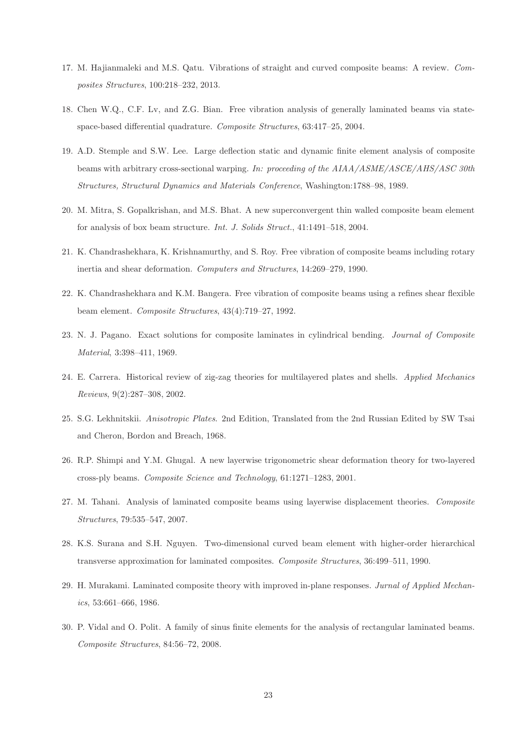- 17. M. Hajianmaleki and M.S. Qatu. Vibrations of straight and curved composite beams: A review. *Composites Structures*, 100:218–232, 2013.
- 18. Chen W.Q., C.F. Lv, and Z.G. Bian. Free vibration analysis of generally laminated beams via statespace-based differential quadrature. *Composite Structures*, 63:417–25, 2004.
- 19. A.D. Stemple and S.W. Lee. Large deflection static and dynamic finite element analysis of composite beams with arbitrary cross-sectional warping. *In: proceeding of the AIAA/ASME/ASCE/AHS/ASC 30th Structures, Structural Dynamics and Materials Conference*, Washington:1788–98, 1989.
- 20. M. Mitra, S. Gopalkrishan, and M.S. Bhat. A new superconvergent thin walled composite beam element for analysis of box beam structure. *Int. J. Solids Struct.*, 41:1491–518, 2004.
- 21. K. Chandrashekhara, K. Krishnamurthy, and S. Roy. Free vibration of composite beams including rotary inertia and shear deformation. *Computers and Structures*, 14:269–279, 1990.
- 22. K. Chandrashekhara and K.M. Bangera. Free vibration of composite beams using a refines shear flexible beam element. *Composite Structures*, 43(4):719–27, 1992.
- 23. N. J. Pagano. Exact solutions for composite laminates in cylindrical bending. *Journal of Composite Material*, 3:398–411, 1969.
- 24. E. Carrera. Historical review of zig-zag theories for multilayered plates and shells. *Applied Mechanics Reviews*, 9(2):287–308, 2002.
- 25. S.G. Lekhnitskii. *Anisotropic Plates*. 2nd Edition, Translated from the 2nd Russian Edited by SW Tsai and Cheron, Bordon and Breach, 1968.
- 26. R.P. Shimpi and Y.M. Ghugal. A new layerwise trigonometric shear deformation theory for two-layered cross-ply beams. *Composite Science and Technology*, 61:1271–1283, 2001.
- 27. M. Tahani. Analysis of laminated composite beams using layerwise displacement theories. *Composite Structures*, 79:535–547, 2007.
- 28. K.S. Surana and S.H. Nguyen. Two-dimensional curved beam element with higher-order hierarchical transverse approximation for laminated composites. *Composite Structures*, 36:499–511, 1990.
- 29. H. Murakami. Laminated composite theory with improved in-plane responses. *Jurnal of Applied Mechanics*, 53:661–666, 1986.
- 30. P. Vidal and O. Polit. A family of sinus finite elements for the analysis of rectangular laminated beams. *Composite Structures*, 84:56–72, 2008.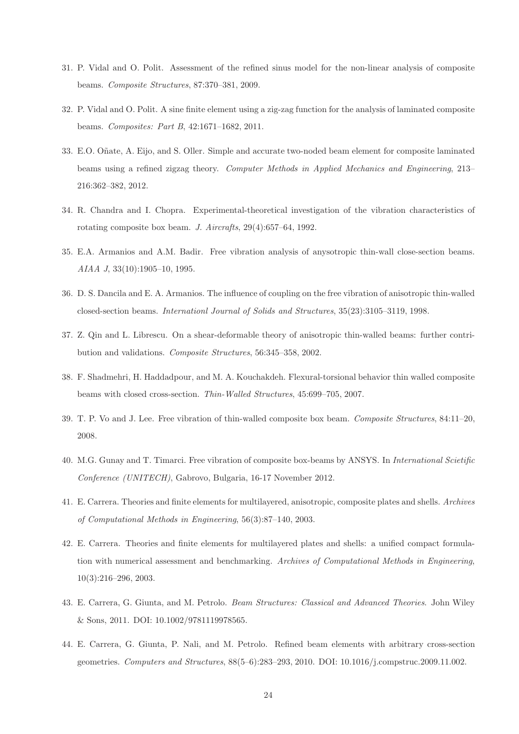- 31. P. Vidal and O. Polit. Assessment of the refined sinus model for the non-linear analysis of composite beams. *Composite Structures*, 87:370–381, 2009.
- 32. P. Vidal and O. Polit. A sine finite element using a zig-zag function for the analysis of laminated composite beams. *Composites: Part B*, 42:1671–1682, 2011.
- 33. E.O. O˜nate, A. Eijo, and S. Oller. Simple and accurate two-noded beam element for composite laminated beams using a refined zigzag theory. *Computer Methods in Applied Mechanics and Engineering*, 213– 216:362–382, 2012.
- 34. R. Chandra and I. Chopra. Experimental-theoretical investigation of the vibration characteristics of rotating composite box beam. *J. Aircrafts*, 29(4):657–64, 1992.
- 35. E.A. Armanios and A.M. Badir. Free vibration analysis of anysotropic thin-wall close-section beams. *AIAA J*, 33(10):1905–10, 1995.
- 36. D. S. Dancila and E. A. Armanios. The influence of coupling on the free vibration of anisotropic thin-walled closed-section beams. *Internationl Journal of Solids and Structures*, 35(23):3105–3119, 1998.
- 37. Z. Qin and L. Librescu. On a shear-deformable theory of anisotropic thin-walled beams: further contribution and validations. *Composite Structures*, 56:345–358, 2002.
- 38. F. Shadmehri, H. Haddadpour, and M. A. Kouchakdeh. Flexural-torsional behavior thin walled composite beams with closed cross-section. *Thin-Walled Structures*, 45:699–705, 2007.
- 39. T. P. Vo and J. Lee. Free vibration of thin-walled composite box beam. *Composite Structures*, 84:11–20, 2008.
- 40. M.G. Gunay and T. Timarci. Free vibration of composite box-beams by ANSYS. In *International Scietific Conference (UNITECH)*, Gabrovo, Bulgaria, 16-17 November 2012.
- 41. E. Carrera. Theories and finite elements for multilayered, anisotropic, composite plates and shells. *Archives of Computational Methods in Engineering*, 56(3):87–140, 2003.
- 42. E. Carrera. Theories and finite elements for multilayered plates and shells: a unified compact formulation with numerical assessment and benchmarking. *Archives of Computational Methods in Engineering*, 10(3):216–296, 2003.
- 43. E. Carrera, G. Giunta, and M. Petrolo. *Beam Structures: Classical and Advanced Theories*. John Wiley & Sons, 2011. DOI: 10.1002/9781119978565.
- 44. E. Carrera, G. Giunta, P. Nali, and M. Petrolo. Refined beam elements with arbitrary cross-section geometries. *Computers and Structures*, 88(5–6):283–293, 2010. DOI: 10.1016/j.compstruc.2009.11.002.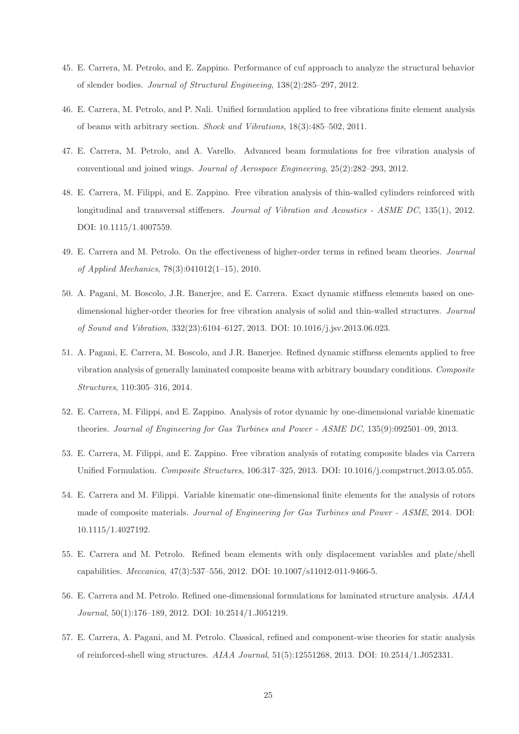- 45. E. Carrera, M. Petrolo, and E. Zappino. Performance of cuf approach to analyze the structural behavior of slender bodies. *Journal of Structural Engineeing*, 138(2):285–297, 2012.
- 46. E. Carrera, M. Petrolo, and P. Nali. Unified formulation applied to free vibrations finite element analysis of beams with arbitrary section. *Shock and Vibrations*, 18(3):485–502, 2011.
- 47. E. Carrera, M. Petrolo, and A. Varello. Advanced beam formulations for free vibration analysis of conventional and joined wings. *Journal of Aerospace Engineering*, 25(2):282–293, 2012.
- 48. E. Carrera, M. Filippi, and E. Zappino. Free vibration analysis of thin-walled cylinders reinforced with longitudinal and transversal stiffeners. *Journal of Vibration and Acoustics - ASME DC*, 135(1), 2012. DOI: 10.1115/1.4007559.
- 49. E. Carrera and M. Petrolo. On the effectiveness of higher-order terms in refined beam theories. *Journal of Applied Mechanics*, 78(3):041012(1–15), 2010.
- 50. A. Pagani, M. Boscolo, J.R. Banerjee, and E. Carrera. Exact dynamic stiffness elements based on onedimensional higher-order theories for free vibration analysis of solid and thin-walled structures. *Journal of Sound and Vibration*, 332(23):6104–6127, 2013. DOI: 10.1016/j.jsv.2013.06.023.
- 51. A. Pagani, E. Carrera, M. Boscolo, and J.R. Banerjee. Refined dynamic stiffness elements applied to free vibration analysis of generally laminated composite beams with arbitrary boundary conditions. *Composite Structures*, 110:305–316, 2014.
- 52. E. Carrera, M. Filippi, and E. Zappino. Analysis of rotor dynamic by one-dimensional variable kinematic theories. *Journal of Engineering for Gas Turbines and Power - ASME DC*, 135(9):092501–09, 2013.
- 53. E. Carrera, M. Filippi, and E. Zappino. Free vibration analysis of rotating composite blades via Carrera Unified Formulation. *Composite Structures*, 106:317–325, 2013. DOI: 10.1016/j.compstruct.2013.05.055.
- 54. E. Carrera and M. Filippi. Variable kinematic one-dimensional finite elements for the analysis of rotors made of composite materials. *Journal of Engineering for Gas Turbines and Power - ASME*, 2014. DOI: 10.1115/1.4027192.
- 55. E. Carrera and M. Petrolo. Refined beam elements with only displacement variables and plate/shell capabilities. *Meccanica*, 47(3):537–556, 2012. DOI: 10.1007/s11012-011-9466-5.
- 56. E. Carrera and M. Petrolo. Refined one-dimensional formulations for laminated structure analysis. *AIAA Journal*, 50(1):176–189, 2012. DOI: 10.2514/1.J051219.
- 57. E. Carrera, A. Pagani, and M. Petrolo. Classical, refined and component-wise theories for static analysis of reinforced-shell wing structures. *AIAA Journal*, 51(5):12551268, 2013. DOI: 10.2514/1.J052331.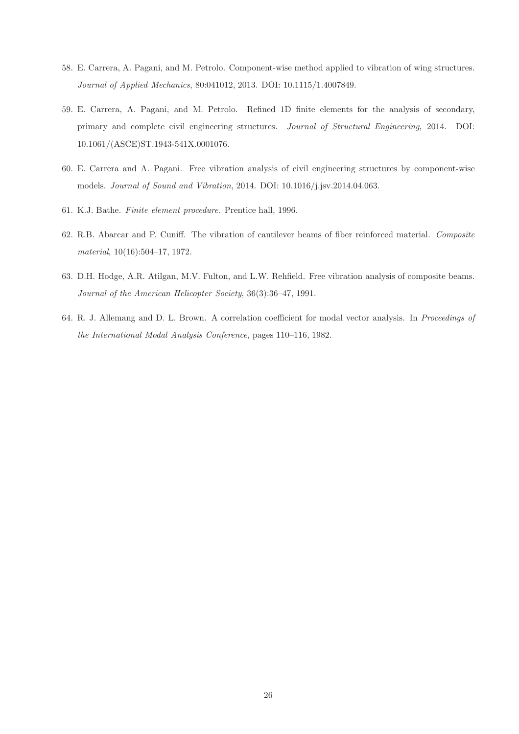- 58. E. Carrera, A. Pagani, and M. Petrolo. Component-wise method applied to vibration of wing structures. *Journal of Applied Mechanics*, 80:041012, 2013. DOI: 10.1115/1.4007849.
- 59. E. Carrera, A. Pagani, and M. Petrolo. Refined 1D finite elements for the analysis of secondary, primary and complete civil engineering structures. *Journal of Structural Engineering*, 2014. DOI: 10.1061/(ASCE)ST.1943-541X.0001076.
- 60. E. Carrera and A. Pagani. Free vibration analysis of civil engineering structures by component-wise models. *Journal of Sound and Vibration*, 2014. DOI: 10.1016/j.jsv.2014.04.063.
- 61. K.J. Bathe. *Finite element procedure*. Prentice hall, 1996.
- 62. R.B. Abarcar and P. Cuniff. The vibration of cantilever beams of fiber reinforced material. *Composite material*, 10(16):504–17, 1972.
- 63. D.H. Hodge, A.R. Atilgan, M.V. Fulton, and L.W. Rehfield. Free vibration analysis of composite beams. *Journal of the American Helicopter Society*, 36(3):36–47, 1991.
- 64. R. J. Allemang and D. L. Brown. A correlation coefficient for modal vector analysis. In *Proceedings of the International Modal Analysis Conference*, pages 110–116, 1982.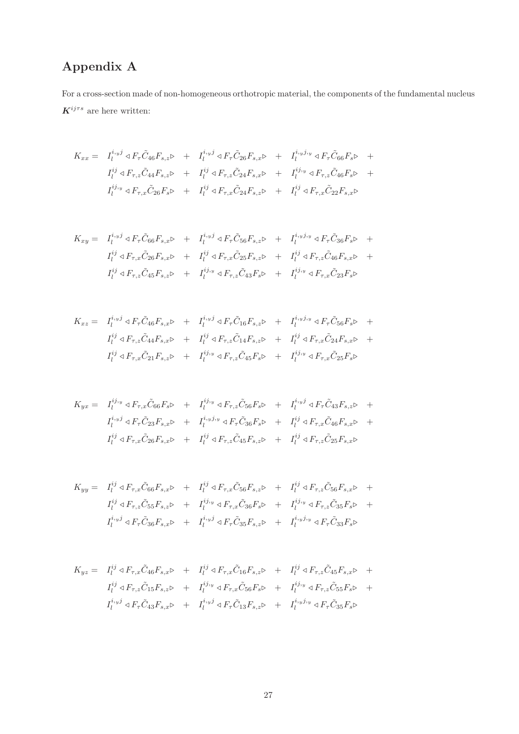# Appendix A

For a cross-section made of non-homogeneous orthotropic material, the components of the fundamental nucleus  $\pmb{K}^{ij\tau s}$  are here written:

$$
K_{xx} = I_l^{i,yj} \triangleleft F_{\tau} \tilde{C}_{46} F_{s,z} \triangleright + I_l^{i,yj} \triangleleft F_{\tau} \tilde{C}_{26} F_{s,x} \triangleright + I_l^{i,yj,y} \triangleleft F_{\tau} \tilde{C}_{66} F_s \triangleright + I_l^{ij} \triangleleft F_{\tau,z} \tilde{C}_{44} F_{s,z} \triangleright + I_l^{ij} \triangleleft F_{\tau,z} \tilde{C}_{24} F_{s,x} \triangleright + I_l^{ij,y} \triangleleft F_{\tau,z} \tilde{C}_{46} F_s \triangleright + I_l^{ij,y} \triangleleft F_{\tau,x} \tilde{C}_{26} F_s \triangleright + I_l^{ij} \triangleleft F_{\tau,x} \tilde{C}_{24} F_{s,z} \triangleright + I_l^{ij} \triangleleft F_{\tau,x} \tilde{C}_{22} F_{s,x} \triangleright
$$

$$
K_{xy} = I_l^{i, yj} \triangleleft F_{\tau} \tilde{C}_{66} F_{s, x} \triangleright + I_l^{i, yj} \triangleleft F_{\tau} \tilde{C}_{56} F_{s, z} \triangleright + I_l^{i, yj, y} \triangleleft F_{\tau} \tilde{C}_{36} F_{s} \triangleright + I_l^{ij} \triangleleft F_{\tau, x} \tilde{C}_{26} F_{s, x} \triangleright + I_l^{ij} \triangleleft F_{\tau, x} \tilde{C}_{25} F_{s, z} \triangleright + I_l^{ij} \triangleleft F_{\tau, z} \tilde{C}_{46} F_{s, x} \triangleright + I_l^{ij} \triangleleft F_{\tau, z} \tilde{C}_{45} F_{s, x} \triangleright + I_l^{ij, y} \triangleleft F_{\tau, z} \tilde{C}_{43} F_{s} \triangleright + I_l^{i j, y} \triangleleft F_{\tau, x} \tilde{C}_{23} F_{s} \triangleright
$$

$$
K_{xz} = I_l^{i_y j} \triangleleft F_{\tau} \tilde{C}_{46} F_{s,x} \triangleright + I_l^{i_y j} \triangleleft F_{\tau} \tilde{C}_{16} F_{s,z} \triangleright + I_l^{i_y j_y} \triangleleft F_{\tau} \tilde{C}_{56} F_{s} \triangleright + I_l^{i_y} \triangleleft F_{\tau,z} \tilde{C}_{44} F_{s,x} \triangleright + I_l^{i_y} \triangleleft F_{\tau,z} \tilde{C}_{14} F_{s,z} \triangleright + I_l^{i_y} \triangleleft F_{\tau,x} \tilde{C}_{24} F_{s,x} \triangleright + I_l^{i_y} \triangleleft F_{\tau,x} \tilde{C}_{21} F_{s,z} \triangleright + I_l^{i_j} \triangleleft F_{\tau,z} \tilde{C}_{45} F_{s} \triangleright + I_l^{i_j} \triangleleft F_{\tau,x} \tilde{C}_{25} F_{s} \triangleright
$$

$$
K_{yx} = I_l^{ij,y} \triangleleft F_{\tau,x} \tilde{C}_{66} F_s \triangleright + I_l^{ij,y} \triangleleft F_{\tau,z} \tilde{C}_{56} F_s \triangleright + I_l^{i,yj} \triangleleft F_{\tau} \tilde{C}_{43} F_{s,z} \triangleright + I_l^{i,yj} \triangleleft F_{\tau} \tilde{C}_{23} F_{s,z} \triangleright + I_l^{i,yj,y} \triangleleft F_{\tau} \tilde{C}_{36} F_s \triangleright + I_l^{ij} \triangleleft F_{\tau,x} \tilde{C}_{46} F_{s,x} \triangleright + I_l^{ij} \triangleleft F_{\tau,x} \tilde{C}_{26} F_{s,x} \triangleright + I_l^{ij} \triangleleft F_{\tau,z} \tilde{C}_{45} F_{s,z} \triangleright + I_l^{ij} \triangleleft F_{\tau,z} \tilde{C}_{25} F_{s,x} \triangleright
$$

$$
K_{yy} = I_l^{ij} \triangleleft F_{\tau,x} \tilde{C}_{66} F_{s,x} \triangleright + I_l^{ij} \triangleleft F_{\tau,x} \tilde{C}_{56} F_{s,z} \triangleright + I_l^{ij} \triangleleft F_{\tau,z} \tilde{C}_{56} F_{s,x} \triangleright + I_l^{ij} \triangleleft F_{\tau,z} \tilde{C}_{56} F_{s,x} \triangleright + I_l^{ij} \triangleleft F_{\tau,z} \tilde{C}_{55} F_{s,z} \triangleright + I_l^{ij,y} \triangleleft F_{\tau,z} \tilde{C}_{36} F_{s} \triangleright + I_l^{ij,y} \triangleleft F_{\tau} \tilde{C}_{36} F_{s,x} \triangleright + I_l^{i,yj} \triangleleft F_{\tau} \tilde{C}_{35} F_{s,z} \triangleright + I_l^{i,yj} \triangleleft F_{\tau} \tilde{C}_{33} F_{s} \triangleright
$$

$$
K_{yz} = I_l^{ij} \triangleleft F_{\tau,x} \tilde{C}_{46} F_{s,x} \triangleright + I_l^{ij} \triangleleft F_{\tau,x} \tilde{C}_{16} F_{s,z} \triangleright + I_l^{ij} \triangleleft F_{\tau,z} \tilde{C}_{45} F_{s,x} \triangleright + I_l^{ij} \triangleleft F_{\tau,z} \tilde{C}_{45} F_{s,x} \triangleright + I_l^{ij} \triangleleft F_{\tau,z} \tilde{C}_{15} F_{s,z} \triangleright + I_l^{ij,y} \triangleleft F_{\tau,x} \tilde{C}_{56} F_{s} \triangleright + I_l^{ij,y} \triangleleft F_{\tau,z} \tilde{C}_{55} F_{s} \triangleright + I_l^{i,yj} \triangleleft F_{\tau} \tilde{C}_{43} F_{s,x} \triangleright + I_l^{i,yj} \triangleleft F_{\tau} \tilde{C}_{13} F_{s,z} \triangleright + I_l^{i,yj,y} \triangleleft F_{\tau} \tilde{C}_{35} F_{s} \triangleright
$$